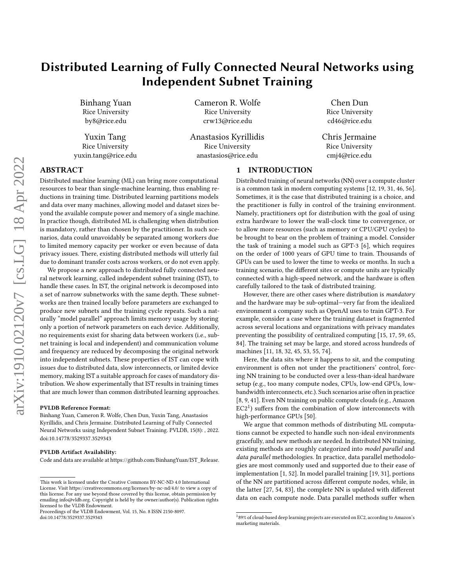# Distributed Learning of Fully Connected Neural Networks using Independent Subnet Training

Binhang Yuan Rice University by8@rice.edu

Yuxin Tang Rice University yuxin.tang@rice.edu Cameron R. Wolfe Rice University crw13@rice.edu

Anastasios Kyrillidis Rice University anastasios@rice.edu

Chen Dun Rice University cd46@rice.edu

Chris Jermaine Rice University cmj4@rice.edu

# ABSTRACT

Distributed machine learning (ML) can bring more computational resources to bear than single-machine learning, thus enabling reductions in training time. Distributed learning partitions models and data over many machines, allowing model and dataset sizes beyond the available compute power and memory of a single machine. In practice though, distributed ML is challenging when distribution is mandatory, rather than chosen by the practitioner. In such scenarios, data could unavoidably be separated among workers due to limited memory capacity per worker or even because of data privacy issues. There, existing distributed methods will utterly fail due to dominant transfer costs across workers, or do not even apply.

We propose a new approach to distributed fully connected neural network learning, called independent subnet training (IST), to handle these cases. In IST, the original network is decomposed into a set of narrow subnetworks with the same depth. These subnetworks are then trained locally before parameters are exchanged to produce new subnets and the training cycle repeats. Such a naturally "model parallel" approach limits memory usage by storing only a portion of network parameters on each device. Additionally, no requirements exist for sharing data between workers (i.e., subnet training is local and independent) and communication volume and frequency are reduced by decomposing the original network into independent subnets. These properties of IST can cope with issues due to distributed data, slow interconnects, or limited device memory, making IST a suitable approach for cases of mandatory distribution. We show experimentally that IST results in training times that are much lower than common distributed learning approaches.

#### PVLDB Reference Format:

Binhang Yuan, Cameron R. Wolfe, Chen Dun, Yuxin Tang, Anastasios Kyrillidis, and Chris Jermaine. Distributed Learning of Fully Connected Neural Networks using Independent Subnet Training. PVLDB, 15(8): , 2022. [doi:10.14778/3529337.3529343](https://doi.org/10.14778/3529337.3529343)

#### PVLDB Artifact Availability:

Code and data are available a[t https://github.com/BinhangYuan/IST\\_Release.](https://github.com/BinhangYuan/IST_Release)

# 1 INTRODUCTION

Distributed training of neural networks (NN) over a compute cluster is a common task in modern computing systems [\[12,](#page-12-0) [19,](#page-12-1) [31,](#page-12-2) [46,](#page-12-3) [56\]](#page-13-0). Sometimes, it is the case that distributed training is a choice, and the practitioner is fully in control of the training environment. Namely, practitioners opt for distribution with the goal of using extra hardware to lower the wall-clock time to convergence, or to allow more resources (such as memory or CPU/GPU cycles) to be brought to bear on the problem of training a model. Consider the task of training a model such as GPT-3 [\[6\]](#page-12-4), which requires on the order of 1000 years of GPU time to train. Thousands of GPUs can be used to lower the time to weeks or months. In such a training scenario, the different sites or compute units are typically connected with a high-speed network, and the hardware is often carefully tailored to the task of distributed training.

However, there are other cases where distribution is mandatory and the hardware may be sub-optimal—very far from the idealized environment a company such as OpenAI uses to train GPT-3. For example, consider a case where the training dataset is fragmented across several locations and organizations with privacy mandates preventing the possibility of centralized computing [\[15,](#page-12-5) [17,](#page-12-6) [59,](#page-13-1) [65,](#page-13-2) [84\]](#page-13-3). The training set may be large, and stored across hundreds of machines [\[11,](#page-12-7) [18,](#page-12-8) [32,](#page-12-9) [45,](#page-12-10) [53,](#page-13-4) [55,](#page-13-5) [74\]](#page-13-6).

Here, the data sits where it happens to sit, and the computing environment is often not under the practitioners' control, forcing NN training to be conducted over a less-than-ideal hardware setup (e.g., too many compute nodes, CPUs, low-end GPUs, lowbandwidth interconnects, etc.). Such scenarios arise often in practice [\[8,](#page-12-11) [9,](#page-12-12) [41\]](#page-12-13). Even NN training on public compute clouds (e.g., Amazon  $EC<sub>2</sub><sup>1</sup>$  $EC<sub>2</sub><sup>1</sup>$  $EC<sub>2</sub><sup>1</sup>$ ) suffers from the combination of slow interconnects with high-performance GPUs [\[50\]](#page-13-7).

We argue that common methods of distributing ML computations cannot be expected to handle such non-ideal environments gracefully, and new methods are needed. In distributed NN training, existing methods are roughly categorized into model parallel and data parallel methodologies. In practice, data parallel methodologies are most commonly used and supported due to their ease of implementation [\[1,](#page-12-14) [52\]](#page-13-8). In model parallel training [\[19,](#page-12-1) [31\]](#page-12-2), portions of the NN are partitioned across different compute nodes, while, in the latter [\[27,](#page-12-15) [54,](#page-13-9) [83\]](#page-13-10), the complete NN is updated with different data on each compute node. Data parallel methods suffer when

This work is licensed under the Creative Commons BY-NC-ND 4.0 International License. Visit<https://creativecommons.org/licenses/by-nc-nd/4.0/> to view a copy of this license. For any use beyond those covered by this license, obtain permission by emailing [info@vldb.org.](mailto:info@vldb.org) Copyright is held by the owner/author(s). Publication rights licensed to the VLDB Endowment.

Proceedings of the VLDB Endowment, Vol. 15, No. 8 ISSN 2150-8097. [doi:10.14778/3529337.3529343](https://doi.org/10.14778/3529337.3529343)

<span id="page-0-0"></span> $189\%$  of cloud-based deep learning projects are executed on EC2, according to Amazon's marketing materials.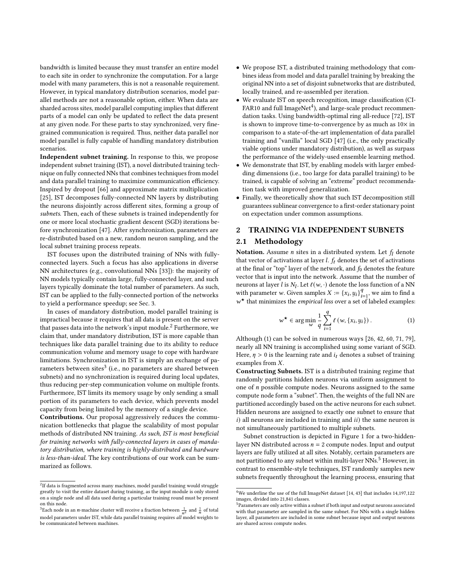bandwidth is limited because they must transfer an entire model to each site in order to synchronize the computation. For a large model with many parameters, this is not a reasonable requirement. However, in typical mandatory distribution scenarios, model parallel methods are not a reasonable option, either. When data are sharded across sites, model parallel computing implies that different parts of a model can only be updated to reflect the data present at any given node. For these parts to stay synchronized, very finegrained communication is required. Thus, neither data parallel nor model parallel is fully capable of handling mandatory distribution scenarios.

Independent subnet training. In response to this, we propose independent subnet training (IST), a novel distributed training technique on fully connected NNs that combines techniques from model and data parallel training to maximize communication efficiency. Inspired by dropout [\[66\]](#page-13-11) and approximate matrix multiplication [\[25\]](#page-12-16), IST decomposes fully-connected NN layers by distributing the neurons disjointly across different sites, forming a group of subnets. Then, each of these subnets is trained independently for one or more local stochastic gradient descent (SGD) iterations before synchronization [\[47\]](#page-13-12). After synchronization, parameters are re-distributed based on a new, random neuron sampling, and the local subnet training process repeats.

IST focuses upon the distributed training of NNs with fullyconnected layers. Such a focus has also applications in diverse NN architectures (e.g., convolutional NNs [\[33\]](#page-12-17)): the majority of NN models typically contain large, fully-connected layer, and such layers typically dominate the total number of parameters. As such, IST can be applied to the fully-connected portion of the networks to yield a performance speedup; see Sec. [3.](#page-3-0)

In cases of mandatory distribution, model parallel training is impractical because it requires that all data is present on the server that passes data into the network's input module.<sup>[2](#page-1-0)</sup> Furthermore, we claim that, under mandatory distribution, IST is more capable than techniques like data parallel training due to its ability to reduce communication volume and memory usage to cope with hardware limitations. Synchronization in IST is simply an exchange of pa-rameters between sites<sup>[3](#page-1-1)</sup> (i.e., no parameters are shared between subnets) and no synchronization is required during local updates, thus reducing per-step communication volume on multiple fronts. Furthermore, IST limits its memory usage by only sending a small portion of its parameters to each device, which prevents model capacity from being limited by the memory of a single device.

Contributions. Our proposal aggressively reduces the communication bottlenecks that plague the scalability of most popular methods of distributed NN training. As such, IST is most beneficial for training networks with fully-connected layers in cases of mandatory distribution, where training is highly-distributed and hardware is less-than-ideal. The key contributions of our work can be summarized as follows.

- We propose IST, a distributed training methodology that combines ideas from model and data parallel training by breaking the original NN into a set of disjoint subnetworks that are distributed, locally trained, and re-assembled per iteration.
- We evaluate IST on speech recognition, image classification (CI- $FAR10$  and full ImageNet<sup>[4](#page-1-2)</sup>), and large-scale product recommendation tasks. Using bandwidth-optimal ring all-reduce [\[72\]](#page-13-13), IST is shown to improve time-to-convergence by as much as  $10\times$  in comparison to a state-of-the-art implementation of data parallel training and "vanilla" local SGD [\[47\]](#page-13-12) (i.e., the only practically viable options under mandatory distribution), as well as surpass the performance of the widely-used ensemble learning method.
- We demonstrate that IST, by enabling models with larger embedding dimensions (i.e., too large for data parallel training) to be trained, is capable of solving an "extreme" product recommendation task with improved generalization.
- Finally, we theoretically show that such IST decomposition still guarantees sublinear convergence to a first-order stationary point on expectation under common assumptions.

## 2 TRAINING VIA INDEPENDENT SUBNETS

#### 2.1 Methodology

Notation. Assume *n* sites in a distributed system. Let  $f_i$  denote that vector of activations at layer  $l$ .  $f_t$  denotes the set of activations at the final or "top" layer of the network, and  $f_0$  denotes the feature vector that is input into the network. Assume that the number of neurons at layer  $\hat{l}$  is  $N_l$ . Let  $\ell(w, \cdot)$  denote the loss function of a NN with parameter w. Given samples  $X := \{x_i, y_i\}^q$  $_{i=1}^{q}$ , we aim to find a  $w^{\star}$  that minimizes the *empirical loss* over a set of labeled examples:

<span id="page-1-3"></span>
$$
w^{\star} \in \arg\min_{w} \frac{1}{q} \sum_{i=1}^{q} \ell(w, \{x_i, y_i\}).
$$
 (1)

Although [\(1\)](#page-1-3) can be solved in numerous ways [\[26,](#page-12-18) [42,](#page-12-19) [60,](#page-13-14) [71,](#page-13-15) [79\]](#page-13-16), nearly all NN training is accomplished using some variant of SGD. Here,  $\eta > 0$  is the learning rate and  $i_t$  denotes a subset of training examples from  $X$ .

Constructing Subnets. IST is a distributed training regime that randomly partitions hidden neurons via uniform assignment to one of  $n$  possible compute nodes. Neurons assigned to the same compute node form a "subnet". Then, the weights of the full NN are partitioned accordingly based on the active neurons for each subnet. Hidden neurons are assigned to exactly one subnet to ensure that  $i)$  all neurons are included in training and  $ii)$  the same neuron is not simultaneously partitioned to multiple subnets.

Subnet construction is depicted in Figure [1](#page-2-0) for a two-hiddenlayer NN distributed across  $n = 2$  compute nodes. Input and output layers are fully utilized at all sites. Notably, certain parameters are not partitioned to any subnet within multi-layer NNs.<sup>[5](#page-1-4)</sup> However, in contrast to ensemble-style techniques, IST randomly samples new subnets frequently throughout the learning process, ensuring that

<span id="page-1-0"></span> $^2$ If data is fragmented across many machines, model parallel training would struggle greatly to visit the entire dataset during training, as the input module is only stored on a single node and all data used during a particular training round must be present on this node.

<span id="page-1-1"></span><sup>&</sup>lt;sup>3</sup>Each node in an *n*-machine cluster will receive a fraction between  $\frac{1}{n^2}$  and  $\frac{1}{n}$  of total model parameters under IST, while data parallel training requires all model weights to be communicated between machines.

<span id="page-1-2"></span> $^4\rm{We}$  underline the use of the full ImageNet dataset [\[14,](#page-12-20) [43\]](#page-12-21) that includes 14,197,122 images, divided into 21,841 classes.

<span id="page-1-4"></span> $5$ Parameters are only active within a subnet if both input and output neurons associated with that parameter are sampled in the same subnet. For NNs with a single hidden layer, all parameters are included in some subnet because input and output neurons are shared across compute nodes.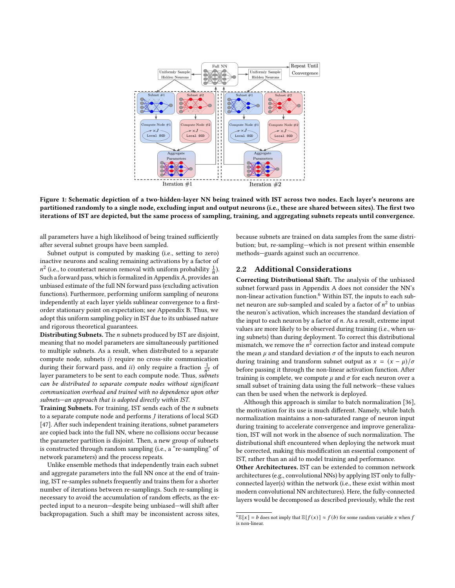<span id="page-2-0"></span>

Figure 1: Schematic depiction of a two-hidden-layer NN being trained with IST across two nodes. Each layer's neurons are partitioned randomly to a single node, excluding input and output neurons (i.e., these are shared between sites). The first two iterations of IST are depicted, but the same process of sampling, training, and aggregating subnets repeats until convergence.

all parameters have a high likelihood of being trained sufficiently after several subnet groups have been sampled.

Subnet output is computed by masking (i.e., setting to zero) inactive neurons and scaling remaining activations by a factor of  $n^2$  (i.e., to counteract neuron removal with uniform probability  $\frac{1}{n}$ ). Such a forward pass, which is formalized in Appendix [A,](#page-6-0) provides an unbiased estimate of the full NN forward pass (excluding activation functions). Furthermore, performing uniform sampling of neurons independently at each layer yields sublinear convergence to a firstorder stationary point on expectation; see Appendix [B.](#page-6-1) Thus, we adopt this uniform sampling policy in IST due to its unbiased nature and rigorous theoretical guarantees.

Distributing Subnets. The  $n$  subnets produced by IST are disjoint, meaning that no model parameters are simultaneously partitioned to multiple subnets. As a result, when distributed to a separate compute node, subnets  $i$ ) require no cross-site communication during their forward pass, and *ii*) only require a fraction  $\frac{1}{n^2}$  of layer parameters to be sent to each compute node. Thus, subnets can be distributed to separate compute nodes without significant communication overhead and trained with no dependence upon other subnets—an approach that is adopted directly within IST.

Training Subnets. For training, IST sends each of the  $n$  subnets to a separate compute node and performs  $J$  iterations of local SGD [\[47\]](#page-13-12). After such independent training iterations, subnet parameters are copied back into the full NN, where no collisions occur because the parameter partition is disjoint. Then, a new group of subnets is constructed through random sampling (i.e., a "re-sampling" of network parameters) and the process repeats.

Unlike ensemble methods that independently train each subnet and aggregate parameters into the full NN once at the end of training, IST re-samples subnets frequently and trains them for a shorter number of iterations between re-samplings. Such re-sampling is necessary to avoid the accumulation of random effects, as the expected input to a neuron—despite being unbiased—will shift after backpropagation. Such a shift may be inconsistent across sites, because subnets are trained on data samples from the same distribution; but, re-sampling—which is not present within ensemble methods—guards against such an occurrence.

## <span id="page-2-2"></span>2.2 Additional Considerations

Correcting Distributional Shift. The analysis of the unbiased subnet forward pass in Appendix [A](#page-6-0) does not consider the NN's non-linear activation function.[6](#page-2-1) Within IST, the inputs to each subnet neuron are sub-sampled and scaled by a factor of  $n^2$  to unbias the neuron's activation, which increases the standard deviation of the input to each neuron by a factor of  $n$ . As a result, extreme input values are more likely to be observed during training (i.e., when using subnets) than during deployment. To correct this distributional mismatch, we remove the  $n^2$  correction factor and instead compute the mean  $\mu$  and standard deviation  $\sigma$  of the inputs to each neuron during training and transform subnet output as  $x = (x - \mu)/\sigma$ before passing it through the non-linear activation function. After training is complete, we compute  $\mu$  and  $\sigma$  for each neuron over a small subset of training data using the full network—these values can then be used when the network is deployed.

Although this approach is similar to batch normalization [\[36\]](#page-12-22), the motivation for its use is much different. Namely, while batch normalization maintains a non-saturated range of neuron input during training to accelerate convergence and improve generalization, IST will not work in the absence of such normalization. The distributional shift encountered when deploying the network must be corrected, making this modification an essential component of IST, rather than an aid to model training and performance.

Other Architectures. IST can be extended to common network architectures (e.g., convolutional NNs) by applying IST only to fullyconnected layer(s) within the network (i.e., these exist within most modern convolutional NN architectures). Here, the fully-connected layers would be decomposed as described previously, while the rest

<span id="page-2-1"></span> $^{6}E[x] = b$  does not imply that  $E[f(x)] \approx f(b)$  for some random variable  $x$  when  $f$ is non-linear.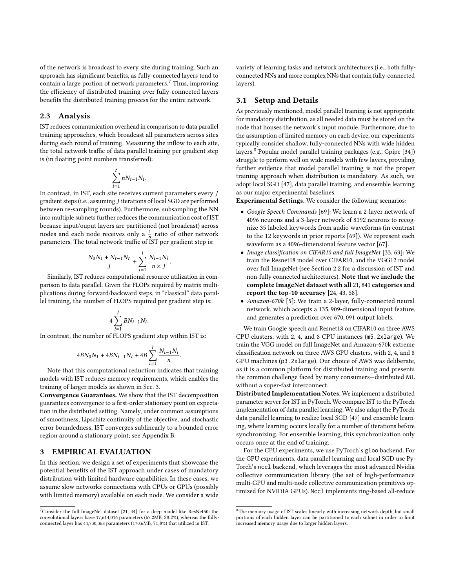of the network is broadcast to every site during training. Such an approach has significant benefits, as fully-connected layers tend to contain a large portion of network parameters.[7](#page-3-1) Thus, improving the efficiency of distributed training over fully-connected layers benefits the distributed training process for the entire network.

#### 2.3 Analysis

IST reduces communication overhead in comparison to data parallel training approaches, which broadcast all parameters across sites during each round of training. Measuring the inflow to each site, the total network traffic of data parallel training per gradient step is (in floating point numbers transferred):

$$
\sum_{i=1}^t nN_{i-1}N_i.
$$

In contrast, in IST, each site receives current parameters every J gradient steps (i.e., assuming *J* iterations of local SGD are performed between re-sampling rounds). Furthermore, subsampling the NN into multiple subnets further reduces the communication cost of IST because input/ouput layers are partitioned (not broadcast) across nodes and each node receives only a  $\frac{1}{n}$  ratio of other network parameters. The total network traffic of IST per gradient step is:

$$
\frac{N_0 N_1 + N_{t-1} N_t}{J} + \sum_{i=1}^{l} \frac{N_{i-1} N_i}{n \times J}.
$$

Similarly, IST reduces computational resource utilization in comparison to data parallel. Given the FLOPs required by matrix multiplications during forward/backward steps, in "classical" data parallel training, the number of FLOPS required per gradient step is:

$$
4\sum_{i=1}^lBN_{i-1}N_i.
$$

In contrast, the number of FLOPS gradient step within IST is:

$$
4 B N_0 N_1 + 4 B N_{t-1} N_t + 4 B \sum_{i=1}^l \frac{N_{i-1} N_i}{n}.
$$

Note that this computational reduction indicates that training models with IST reduces memory requirements, which enables the training of larger models as shown in Sec. [3.](#page-3-0)

Convergence Guarantees. We show that the IST decomposition guarantees convergence to a first-order stationary point on expectation in the distributed setting. Namely, under common assumptions of smoothness, Lipschitz continuity of the objective, and stochastic error boundedness, IST converges sublinearly to a bounded error region around a stationary point; see Appendix [B.](#page-6-1)

#### <span id="page-3-0"></span>3 EMPIRICAL EVALUATION

In this section, we design a set of experiments that showcase the potential benefits of the IST approach under cases of mandatory distribution with limited hardware capabilities. In these cases, we assume slow networks connections with CPUs or GPUs (possibly with limited memory) available on each node. We consider a wide variety of learning tasks and network architectures (i.e., both fullyconnected NNs and more complex NNs that contain fully-connected layers).

#### 3.1 Setup and Details

As previously mentioned, model parallel training is not appropriate for mandatory distribution, as all needed data must be stored on the node that houses the network's input module. Furthermore, due to the assumption of limited memory on each device, our experiments typically consider shallow, fully-connected NNs with wide hidden layers.[8](#page-3-2) Popular model parallel training packages (e.g., Gpipe [\[34\]](#page-12-25)) struggle to perform well on wide models with few layers, providing further evidence that model parallel training is not the proper training approach when distribution is mandatory. As such, we adopt local SGD [\[47\]](#page-13-12), data parallel training, and ensemble learning as our major experimental baselines.

Experimental Settings. We consider the following scenarios:

- Google Speech Commands [\[69\]](#page-13-17): We learn a 2-layer network of 4096 neurons and a 3-layer network of 8192 neurons to recognize 35 labeled keywords from audio waveforms (in contrast to the 12 keywords in prior reports [\[69\]](#page-13-17)). We represent each waveform as a 4096-dimensional feature vector [\[67\]](#page-13-18).
- Image classification on CIFAR10 and full ImageNet [\[33,](#page-12-17) [63\]](#page-13-19): We train the Resnet18 model over CIFAR10, and the VGG12 model over full ImageNet (see Section [2.2](#page-2-2) for a discussion of IST and non-fully connected architectures). Note that we include the complete ImageNet dataset with all 21, 841 categories and report the top-10 accuracy [\[24,](#page-12-26) [43,](#page-12-21) [58\]](#page-13-20).
- Amazon-670k [\[5\]](#page-12-27): We train a 2-layer, fully-connected neural network, which accepts a 135, 909-dimensional input feature, and generates a prediction over 670, 091 output labels.

We train Google speech and Resnet18 on CIFAR10 on three AWS CPU clusters, with 2, 4, and 8 CPU instances (m5.2xlarge). We train the VGG model on full ImageNet and Amazon-670k extreme classification network on three AWS GPU clusters, with 2, 4, and 8 GPU machines (p3.2xlarge). Our choice of AWS was deliberate, as it is a common platform for distributed training and presents the common challenge faced by many consumers—distributed ML without a super-fast interconnect.

Distributed Implementation Notes. We implement a distributed parameter server for IST in PyTorch. We compare IST to the PyTorch implementation of data parallel learning. We also adapt the PyTorch data parallel learning to realize local SGD [\[47\]](#page-13-12) and ensemble learning, where learning occurs locally for a number of iterations before synchronizing. For ensemble learning, this synchronization only occurs once at the end of training.

For the CPU experiments, we use PyTorch's gloo backend. For the GPU experiments, data parallel learning and local SGD use Py-Torch's nccl backend, which leverages the most advanced Nvidia collective communication library (the set of high-performance multi-GPU and multi-node collective communication primitives optimized for NVIDIA GPUs). Nccl implements ring-based all-reduce

<span id="page-3-1"></span> ${\rm ^7}C$ onsider the full ImageNet dataset [\[21,](#page-12-23) [44\]](#page-12-24) for a deep model like ResNet50: the convolutional layers have 17,614,016 parameters (67.2MB, 28.2%), whereas the fullyconnected layer has 44,730,368 parameters (170.6MB, 71.8%) that utilized in IST.

<span id="page-3-2"></span> ${}^{8}{\rm The}$  memory usage of IST scales linearly with increasing network depth, but small portions of each hidden layer can be partitioned to each subnet in order to limit increased memory usage due to larger hidden layers.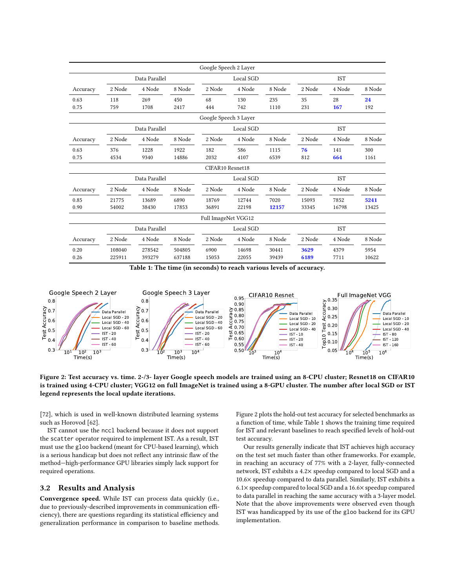<span id="page-4-1"></span>

|          |               |               |           | Google Speech 2 Layer |        |        |            |        |        |
|----------|---------------|---------------|-----------|-----------------------|--------|--------|------------|--------|--------|
|          | Data Parallel |               |           | Local SGD             |        |        | <b>IST</b> |        |        |
| Accuracy | 2 Node        | 4 Node        | 8 Node    | 2 Node                | 4 Node | 8 Node | 2 Node     | 4 Node | 8 Node |
| 0.63     | 118           | 269           | 450       | 68                    | 130    | 235    | 35         | 28     | 24     |
| 0.75     | 759           | 1708          | 2417      | 444                   | 742    | 1110   | 231        | 167    | 192    |
|          |               |               |           | Google Speech 3 Layer |        |        |            |        |        |
|          |               | Data Parallel | Local SGD |                       |        |        | <b>IST</b> |        |        |
| Accuracy | 2 Node        | 4 Node        | 8 Node    | 2 Node                | 4 Node | 8 Node | 2 Node     | 4 Node | 8 Node |
| 0.63     | 376           | 1228          | 1922      | 182                   | 586    | 1115   | 76         | 141    | 300    |
| 0.75     | 4534          | 9340          | 14886     | 2032                  | 4107   | 6539   | 812        | 664    | 1161   |
|          |               |               |           | CIFAR10 Resnet18      |        |        |            |        |        |
|          | Data Parallel |               |           | Local SGD             |        |        | <b>IST</b> |        |        |
| Accuracy | 2 Node        | 4 Node        | 8 Node    | 2 Node                | 4 Node | 8 Node | 2 Node     | 4 Node | 8 Node |
| 0.85     | 21775         | 13689         | 6890      | 18769                 | 12744  | 7020   | 15093      | 7852   | 5241   |
| 0.90     | 54002         | 38430         | 17853     | 36891                 | 22198  | 12157  | 33345      | 16798  | 13425  |
|          |               |               |           | Full ImageNet VGG12   |        |        |            |        |        |
|          | Data Parallel |               |           | Local SGD             |        |        | <b>IST</b> |        |        |
| Accuracy | 2 Node        | 4 Node        | 8 Node    | 2 Node                | 4 Node | 8 Node | 2 Node     | 4 Node | 8 Node |
| 0.20     | 108040        | 278542        | 504805    | 6900                  | 14698  | 30441  | 3629       | 4379   | 5954   |
| 0.26     | 225911        | 393279        | 637188    | 15053                 | 22055  | 39439  | 6189       | 7711   | 10622  |

Table 1: The time (in seconds) to reach various levels of accuracy.

<span id="page-4-0"></span>

Figure 2: Test accuracy vs. time. 2-/3- layer Google speech models are trained using an 8-CPU cluster; Resnet18 on CIFAR10 is trained using 4-CPU cluster; VGG12 on full ImageNet is trained using a 8-GPU cluster. The number after local SGD or IST legend represents the local update iterations.

[\[72\]](#page-13-13), which is used in well-known distributed learning systems such as Horovod [\[62\]](#page-13-21).

IST cannot use the nccl backend because it does not support the scatter operator required to implement IST. As a result, IST must use the gloo backend (meant for CPU-based learning), which is a serious handicap but does not reflect any intrinsic flaw of the method—high-performance GPU libraries simply lack support for required operations.

#### 3.2 Results and Analysis

Convergence speed. While IST can process data quickly (i.e., due to previously-described improvements in communication efficiency), there are questions regarding its statistical efficiency and generalization performance in comparison to baseline methods.

Figure [2](#page-4-0) plots the hold-out test accuracy for selected benchmarks as a function of time, while Table [1](#page-4-1) shows the training time required for IST and relevant baselines to reach specified levels of hold-out test accuracy.

Our results generally indicate that IST achieves high accuracy on the test set much faster than other frameworks. For example, in reaching an accuracy of 77% with a 2-layer, fully-connected network, IST exhibits a 4.2× speedup compared to local SGD and a 10.6× speedup compared to data parallel. Similarly, IST exhibits a 6.1× speedup compared to local SGD and a 16.6× speedup compared to data parallel in reaching the same accuracy with a 3-layer model. Note that the above improvements were observed even though IST was handicapped by its use of the gloo backend for its GPU implementation.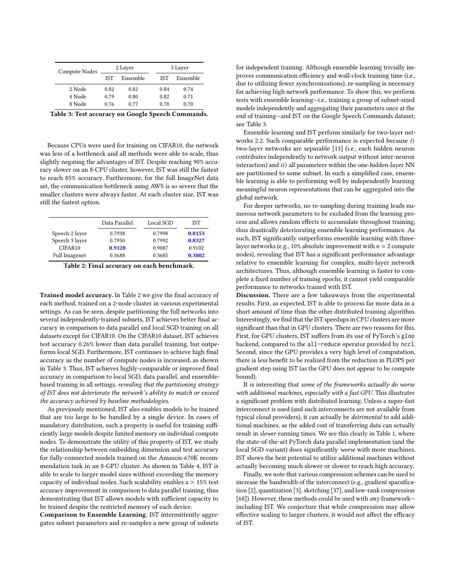<span id="page-5-1"></span>

| Compute Nodes |            | 2 Layer  |            | 3 Layer  |  |  |
|---------------|------------|----------|------------|----------|--|--|
|               | <b>IST</b> | Ensemble | <b>IST</b> | Ensemble |  |  |
| 2 Node        | 0.82       | 0.82     | 0.84       | 0.74     |  |  |
| 4 Node        | 0.79       | 0.80     | 0.82       | 0.71     |  |  |
| 8 Node        | 0.76       | 0.77     | 0.78       | 0.70     |  |  |

Table 3: Test accuracy on Google Speech Commands.

Because CPUs were used for training on CIFAR10, the network was less of a bottleneck and all methods were able to scale, thus slightly negating the advantages of IST. Despite reaching 90% accuracy slower on an 8-CPU cluster, however, IST was still the fastest to reach 85% accuracy. Furthermore, for the full ImageNet data set, the communication bottleneck using AWS is so severe that the smaller clusters were always faster. At each cluster size, IST was still the fastest option.

<span id="page-5-0"></span>

|                      | Data Parallel | Local SGD | IST    |
|----------------------|---------------|-----------|--------|
| Speech 2 layer       | 0.7938        | 0.7998    | 0.8153 |
| Speech 3 layer       | 0.7950        | 0.7992    | 0.8327 |
| CIFAR <sub>10</sub>  | 0.9128        | 0.9087    | 0.9102 |
| <b>Full Imagenet</b> | 0.3688        | 0.3685    | 0.3802 |

Table 2: Final accuracy on each benchmark.

Trained model accuracy. In Table [2](#page-5-0) we give the final accuracy of each method, trained on a 2-node cluster in various experimental settings. As can be seen, despite partitioning the full networks into several independently-trained subnets, IST achieves better final accuracy in comparison to data parallel and local SGD training on all datasets except for CIFAR10. On the CIFAR10 dataset, IST achieves test accuracy 0.26% lower than data parallel training, but outpeforms local SGD. Furthermore, IST continues to achieve high final accuracy as the number of compute nodes is increased, as shown in Table [3.](#page-5-1) Thus, IST achieves highly-comparable or improved final accuracy in comparison to local SGD, data parallel, and ensemblebased training in all settings, revealing that the partitioning strategy of IST does not deteriorate the network's ability to match or exceed the accuracy achieved by baseline methodologies.

As previously mentioned, IST also enables models to be trained that are too large to be handled by a single device. In cases of mandatory distribution, such a property is useful for training sufficiently large models despite limited memory on individual compute nodes. To demonstrate the utility of this property of IST, we study the relationship between embedding dimension and test accuracy for fully-connected models trained on the Amazon-670K recommendation task in an 8-GPU cluster. As shown in Table [4,](#page-6-2) IST is able to scale to larger model sizes without exceeding the memory capacity of individual nodes. Such scalability enables a > 15% test accuracy improvement in comparison to data parallel training, thus demonstrating that IST allows models with sufficient capacity to be trained despite the restricted memory of each device.

Comparison to Ensemble Learning. IST intermittently aggregates subnet parameters and re-samples a new group of subnets

for independent training. Although ensemble learning trivially improves communication efficiency and wall-clock training time (i.e., due to utilizing fewer synchronizations), re-sampling is necessary for achieving high network performance. To show this, we perform tests with ensemble learning—i.e., training a group of subnet-sized models independently and aggregating their parameters once at the end of training—and IST on the Google Speech Commands dataset; see Table [3.](#page-5-1)

Ensemble learning and IST perform similarly for two-layer net-works [2.2.](#page-2-2) Such comparable performance is expected because  $i$ ) two-layer networks are separable [\[13\]](#page-12-28) (i.e., each hidden neuron contributes independently to network output without inter-neuron interaction) and  $ii$ ) all parameters within the one-hidden-layer NN are partitioned to some subnet. In such a simplified case, ensemble learning is able to performing well by independently learning meaningful neuron representations that can be aggregated into the global network.

For deeper networks, no re-sampling during training leads numerous network parameters to be excluded from the learning process and allows random effects to accumulate throughout training, thus drastically deteriorating ensemble learning performance. As such, IST significantly outperforms ensemble learning with threelayer networks (e.g., 10% absolute improvement with  $n = 2$  compute nodes), revealing that IST has a significant performance advantage relative to ensemble learning for complex, multi-layer network architectures. Thus, although ensemble learning is faster to complete a fixed number of training epochs, it cannot yield comparable performance to networks trained with IST.

Discussion. There are a few takeaways from the experimental results. First, as expected, IST is able to process far more data in a short amount of time than the other distributed training algorithm. Interestingly, we find that the IST speedups in CPU clusters are more significant than that in GPU clusters. There are two reasons for this. First, for GPU clusters, IST suffers from its use of PyTorch's gloo backend, compared to the all-reduce operator provided by nccl. Second, since the GPU provides a very high level of computation, there is less benefit to be realized from the reduction in FLOPS per gradient step using IST (as the GPU does not appear to be compute bound).

It is interesting that some of the frameworks actually do worse with additional machines, especially with a fast GPU. This illustrates a significant problem with distributed learning. Unless a super-fast interconnect is used (and such interconnects are not available from typical cloud providers), it can actually be detrimental to add additional machines, as the added cost of transferring data can actually result in slower running times. We see this clearly in Table [1,](#page-4-1) where the state-of-the-art PyTorch data parallel implementation (and the local SGD variant) does significantly worse with more machines. IST shows the best potential to utilize additional machines without actually becoming much slower or slower to reach high accuracy.

Finally, we note that various compression schemes can be used to increase the bandwidth of the interconnect (e.g., gradient sparsification [\[2\]](#page-12-29), quantization [\[3\]](#page-12-30), sketching [\[37\]](#page-12-31), and low-rank compression [\[68\]](#page-13-22)). However, these methods could be used with  $any$  frameworkincluding IST. We conjecture that while compression may allow effective scaling to larger clusters, it would not affect the efficacy of IST.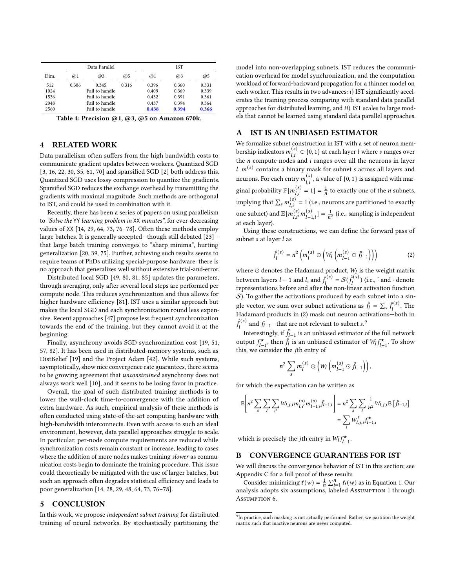<span id="page-6-2"></span>

|      |       | Data Parallel  |       |       | <b>IST</b> |       |  |  |
|------|-------|----------------|-------|-------|------------|-------|--|--|
| Dim. | @1    | @3             | @5    | @1    | @3         | @5    |  |  |
| 512  | 0.386 | 0.345          | 0.316 | 0.396 | 0.360      | 0.331 |  |  |
| 1024 |       | Fail to handle |       | 0.409 | 0.369      | 0.339 |  |  |
| 1536 |       | Fail to handle |       | 0.432 | 0.391      | 0.361 |  |  |
| 2048 |       | Fail to handle |       | 0.437 | 0.394      | 0.364 |  |  |
| 2560 |       | Fail to handle |       | 0.438 | 0.394      | 0.366 |  |  |

Table 4: Precision @1, @3, @5 on Amazon 670k.

#### 4 RELATED WORK

Data parallelism often suffers from the high bandwidth costs to communicate gradient updates between workers. Quantized SGD [\[3,](#page-12-30) [16,](#page-12-32) [22,](#page-12-33) [30,](#page-12-34) [35,](#page-12-35) [61,](#page-13-23) [70\]](#page-13-24) and sparsified SGD [\[2\]](#page-12-29) both address this. Quantized SGD uses lossy compression to quantize the gradients. Sparsified SGD reduces the exchange overhead by transmitting the gradients with maximal magnitude. Such methods are orthogonal to IST, and could be used in combination with it.

Recently, there has been a series of papers on using parallelism to "Solve the YY learning problem in XX minutes", for ever-decreasing values of XX [\[14,](#page-12-20) [29,](#page-12-36) [64,](#page-13-25) [73,](#page-13-26) [76–](#page-13-27)[78\]](#page-13-28). Often these methods employ large batches. It is generally accepted—though still debated [\[23\]](#page-12-37) that large batch training converges to "sharp minima", hurting generalization [\[20,](#page-12-38) [39,](#page-12-39) [75\]](#page-13-29). Further, achieving such results seems to require teams of PhDs utilizing special-purpose hardware: there is no approach that generalizes well without extensive trial-and-error.

Distributed local SGD [\[49,](#page-13-30) [80,](#page-13-31) [81,](#page-13-32) [85\]](#page-13-33) updates the parameters, through averaging, only after several local steps are performed per compute node. This reduces synchronization and thus allows for higher hardware efficiency [\[81\]](#page-13-32). IST uses a similar approach but makes the local SGD and each synchronization round less expensive. Recent approaches [\[47\]](#page-13-12) propose less frequent synchronization towards the end of the training, but they cannot avoid it at the beginning.

Finally, asynchrony avoids SGD synchronization cost [\[19,](#page-12-1) [51,](#page-13-34) [57,](#page-13-35) [82\]](#page-13-36). It has been used in distributed-memory systems, such as DistBelief [\[19\]](#page-12-1) and the Project Adam [\[42\]](#page-12-19). While such systems, asymptotically, show nice convergence rate guarantees, there seems to be growing agreement that unconstrained asynchrony does not always work well [\[10\]](#page-12-40), and it seems to be losing favor in practice.

Overall, the goal of such distributed training methods is to lower the wall-clock time-to-convergence with the addition of extra hardware. As such, empirical analysis of these methods is often conducted using state-of-the-art computing hardware with high-bandwidth interconnects. Even with access to such an ideal environment, however, data parallel approaches struggle to scale. In particular, per-node compute requirements are reduced while synchronization costs remain constant or increase, leading to cases where the addition of more nodes makes training slower as communication costs begin to dominate the training procedure. This issue could theoretically be mitigated with the use of larger batches, but such an approach often degrades statistical efficiency and leads to poor generalization [\[14,](#page-12-20) [28,](#page-12-41) [29,](#page-12-36) [48,](#page-13-37) [64,](#page-13-25) [73,](#page-13-26) [76](#page-13-27)[–78\]](#page-13-28).

### 5 CONCLUSION

In this work, we propose independent subnet training for distributed training of neural networks. By stochastically partitioning the model into non-overlapping subnets, IST reduces the communication overhead for model synchronization, and the computation workload of forward-backward propagation for a thinner model on each worker. This results in two advances:  $i$ ) IST significantly accelerates the training process comparing with standard data parallel approaches for distributed learning, and  $ii$ ) IST scales to large models that cannot be learned using standard data parallel approaches.

#### <span id="page-6-0"></span>A IST IS AN UNBIASED ESTIMATOR

We formalize subnet construction in IST with a set of neuron membership indicators  $m_{l,i}^{(s)} \in \{0, 1\}$  at each layer *l* where *s* ranges over the  $n$  compute nodes and  $i$  ranges over all the neurons in layer l.  $m^{(s)}$  contains a binary mask for subnet s across all layers and neurons. For each entry  $m_{l,i}^{(s)}$  , a value of {0, 1} is assigned with marginal probability  $\mathbb{P}[m_{1,i}^{(s)} = 1] = \frac{1}{n}$  to exactly one of the *n* subnets, implying that  $\sum_{s} m_{Li}^{(s)} = 1$  (i.e., neurons are partitioned to exactly one subnet) and  $\mathbb{E}[m_{l,i'}^{(s)}m_{l-1,i}^{(s)}]=\frac{1}{n^2}$  (i.e., sampling is independent at each layer).

Using these constructions, we can define the forward pass of subnet  $s$  at layer  $l$  as

<span id="page-6-3"></span>
$$
\hat{f}_l^{(s)} = n^2 \left( m_l^{(s)} \odot \left( W_l \left( m_{l-1}^{(s)} \odot \bar{f}_{l-1} \right) \right) \right) \tag{2}
$$

where  $\odot$  denotes the Hadamard product,  $W_l$  is the weight matrix between layers  $l-1$  and  $l$ , and  $\bar{f}_l^{(s)} = \mathcal{S}(\hat{f}_l^{(s)})$  (i.e.,  $\hat{\cdot}$  and  $\bar{\cdot}$  denote representations before and after the non-linear activation function  $S$ ). To gather the activations produced by each subnet into a single vector, we sum over subnet activations as  $\hat{f}_l = \sum_s \hat{f}_l^{(s)}$ . The Hadamard products in [\(2\)](#page-6-3) mask out neuron activations—both in  $\hat{f}_l^{(s)}$  and  $\bar{f}_{l-1}$ —that are not relevant to subnet s.<sup>[9](#page-6-4)</sup>

Interestingly, if  $\bar{f}_{l-1}$  is an unbiased estimator of the full network output  $f_{l-1}^{\star}$ , then  $\hat{f}_l$  is an unbiased estimator of  $W_l f_{l-1}^{\star}$ . To show this, we consider the jth entry of

$$
n^2 \sum_{s} m_l^{(s)} \odot \left(W_l \left( m_{l-1}^{(s)} \odot \bar{f}_{l-1} \right) \right),
$$

for which the expectation can be written as

$$
\mathbb{E}\left[n^2\sum_{s}\sum_{i}\sum_{i'}W_{l,j,i}m_{l,i'}^{(s)}m_{l-1,i}^{(s)}\bar{f}_{l-1,i}\right] = n^2\sum_{s}\sum_{i}\frac{1}{n^2}W_{l,j,i}\mathbb{E}\left[\bar{f}_{l-1,i}\right] = \sum_{i}W_{l,j,i}^lf_{l-1,i}^*
$$

which is precisely the *j*th entry in  $W_l f_{l-1}^{\star}$ .

#### <span id="page-6-1"></span>B CONVERGENCE GUARANTEES FOR IST

We will discuss the convergence behavior of IST in this section; see Appendix [C](#page-8-0) for a full proof of these results

Consider minimizing  $\ell(w) = \frac{1}{n} \sum_{i=1}^{n} \ell_i(w)$  as in Equation [1.](#page-1-3) Our analysis adopts six assumptions, labeled Assumption 1 through Assumption 6.

<span id="page-6-4"></span> $9$ In practice, such masking is not actually performed. Rather, we partition the weight matrix such that inactive neurons are never computed.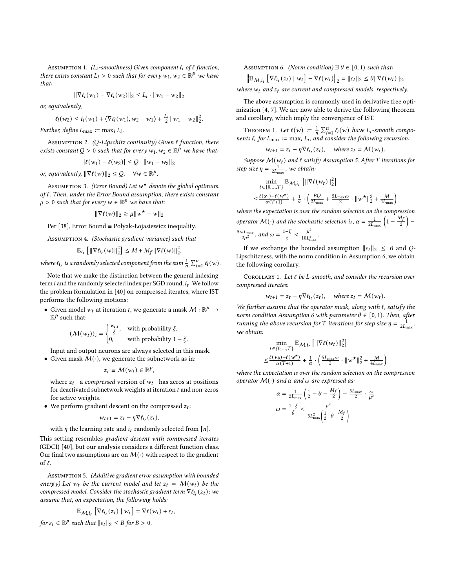ASSUMPTION 1. ( $L_i$ -smoothness) Given component  $\ell_i$  of  $\ell$  function, there exists constant  $L_i > 0$  such that for every  $w_1, w_2 \in \mathbb{R}^p$  we have that:

$$
\|\nabla \ell_i(w_1) - \nabla \ell_i(w_2)\|_2 \le L_i \cdot \|w_1 - w_2\|_2
$$

or, equivalently,

$$
\ell_i(w_2) \leq \ell_i(w_1) + \langle \nabla \ell_i(w_1), w_2 - w_1 \rangle + \frac{L_i}{2} ||w_1 - w_2||_2^2.
$$

Further, define  $L_{\text{max}} := \max_i L_i$ .

Assumption 2. (Q-Lipschitz continuity) Given  $\ell$  function, there exists constant Q > 0 such that for every  $w_1, w_2 \in \mathbb{R}^p$  we have that:

$$
|\ell(w_1) - \ell(w_2)| \le Q \cdot ||w_1 - w_2||_2
$$

or, equivalently,  $\|\nabla \ell(w)\|_2 \leq Q$ ,  $\forall w \in \mathbb{R}^p$ .

Assumption 3. *(Error Bound) Let*  $w^{\star}$  denote the global optimum of  $\ell$ . Then, under the Error Bound assumption, there exists constant  $\mu > 0$  such that for every  $w \in \mathbb{R}^p$  we have that:

$$
\|\nabla \ell(w)\|_2 \ge \mu \|w^{\star} - w\|_2
$$

Per [\[38\]](#page-12-42), Error Bound ≡ Polyak-Łojasiewicz inequality.

Assumption 4. (Stochastic gradient variance) such that

$$
\mathbb{E}_{i_t} \left[ \left\| \nabla \ell_{i_t}(w) \right\|_2^2 \right] \leq M + M_f \|\nabla \ell(w)\|_2^2,
$$

where  $\ell_{i_t}$  is a randomly selected component from the sum  $\frac{1}{n}\sum_{i=1}^n \ell_i(w)$ .

Note that we make the distinction between the general indexing term *i* and the randomly selected index per SGD round,  $i_t$ . We follow the problem formulation in [\[40\]](#page-12-43) on compressed iterates, where IST performs the following motions:

• Given model  $w_t$  at iteration t, we generate a mask  $M : \mathbb{R}^p \rightarrow$  $\mathbb{R}^p$  such that:

$$
(\mathcal{M}(w_t))_i = \begin{cases} \frac{w_{t,i}}{\xi}, & \text{with probability } \xi, \\ 0, & \text{with probability } 1 - \xi. \end{cases}
$$

Input and output neurons are always selected in this mask. • Given mask  $M(\cdot)$ , we generate the subnetwork as in:

$$
z_t \equiv \mathcal{M}(w_t) \in \mathbb{R}^p
$$

where  $z_t$  –a compressed version of  $w_t$  – has zeros at positions for deactivated subnetwork weights at iteration  $t$  and non-zeros for active weights.

• We perform gradient descent on the compressed  $z_t$ :

$$
w_{t+1} = z_t - \eta \nabla \ell_{i_t}(z_t),
$$

with  $\eta$  the learning rate and  $i_t$  randomly selected from [n].

This setting resembles gradient descent with compressed iterates (GDCI) [\[40\]](#page-12-43), but our analysis considers a different function class. Our final two assumptions are on  $\mathcal{M}(\cdot)$  with respect to the gradient of ℓ.

<span id="page-7-0"></span>Assumption 5. (Additive gradient error assumption with bounded energy) Let  $w_t$  be the current model and let  $z_t = M(w_t)$  be the compressed model. Consider the stochastic gradient term  $\nabla \ell_{i_t}(z_t)$ ; we assume that, on expectation, the following holds:

$$
\mathbb{E}_{\mathcal{M},i_t}\left[\nabla \ell_{i_t}(z_t)\mid w_t\right] = \nabla \ell(w_t) + \varepsilon_t,
$$

for  $\varepsilon_t \in \mathbb{R}^p$  such that  $||\varepsilon_t||_2 \leq B$  for  $B > 0$ .

<span id="page-7-1"></span>ASSUMPTION 6. (Norm condition)  $\exists \theta \in [0,1)$  such that:

$$
\|\mathbb{E}_{M,i_t} \left[ \nabla \ell_{i_t}(z_t) \mid w_t \right] - \nabla \ell(w_t) \|_2 = \| \varepsilon_t \|_2 \leq \theta \| \nabla \ell(w_t) \|_2,
$$
  
where  $w_t$  and  $z_t$  are current and compressed models, respectively.

The above assumption is commonly used in derivative free optimization [\[4,](#page-12-44) [7\]](#page-12-45). We are now able to derive the following theorem and corollary, which imply the convergence of IST.

THEOREM 1. Let  $\ell(w) := \frac{1}{n} \sum_{i=1}^{n} \ell_i(w)$  have  $L_i$ -smooth components  $\ell_i$  for  $L_{\text{max}} := \max_i L_i$ , and consider the following recursion:

$$
w_{t+1} = z_t - \eta \nabla \ell_{i_t}(z_t)
$$
, where  $z_t = \mathcal{M}(w_t)$ .

Suppose  $M(w_t)$  and  $\ell$  satisfy Assumption [5.](#page-7-0) After T iterations for step size  $\eta = \frac{1}{2L_{\text{max}}}$ , we obtain:

$$
\begin{aligned} & \min_{t \in \{0,\ldots,T\}} \mathbb{E}_{\mathcal{M},i_t} \left[ \|\nabla \ell(w_t)\|_2^2 \right] \\ & \leq \frac{\ell(x_0)-\ell(w^\star)}{\alpha(T+1)} + \frac{1}{\alpha} \cdot \left( \frac{BQ}{2L_{\max}} + \frac{5L_{\max}\omega}{2} \cdot \|\boldsymbol{w}^\star\|_2^2 + \frac{M}{4L_{\max}} \right) \end{aligned}
$$

where the expectation is over the random selection on the compression operator  $\mathcal{M}(\cdot)$  and the stochastic selection  $i_t$ ,  $\alpha = \frac{1}{2L_{\text{max}}} \left(1 - \frac{M_f}{2}\right)$  $rac{5\omega L_{\text{max}}}{2u^2}$ , and  $\omega = \frac{1-\xi}{\xi} < \frac{\mu^2}{10L^2}$  $\frac{\mu}{10L_{\max}^2}$ .

If we exchange the bounded assumption  $||\varepsilon_t||_2 \leq B$  and  $Q$ -Lipschitzness, with the norm condition in Assumption [6,](#page-7-1) we obtain the following corollary.

COROLLARY 1. Let  $\ell$  be L-smooth, and consider the recursion over compressed iterates:

$$
w_{t+1} = z_t - \eta \nabla \ell_{i_t}(z_t)
$$
, where  $z_t = \mathcal{M}(w_t)$ .

We further assume that the operator mask, along with  $\ell$ , satisfy the norm condition Assumption [6](#page-7-1) with parameter  $\theta \in [0, 1)$ . Then, after running the above recursion for T iterations for step size  $\eta = \frac{1}{2L_{\text{max}}}$ , we obtain:

$$
\min_{t \in \{0, \dots, T\}} \mathbb{E}_{\mathcal{M}, i_t} \left[ \|\nabla \ell(w_t)\|_2^2 \right] \n\leq \frac{\ell(w_0) - \ell(w^\star)}{\alpha(T+1)} + \frac{1}{\alpha} \cdot \left( \frac{5L_{\text{max}}\omega}{2} \cdot \|\boldsymbol{w}^\star\|_2^2 + \frac{M}{4L_{\text{max}}} \right)
$$

where the expectation is over the random selection on the compression operator  $M(\cdot)$  and  $\alpha$  and  $\omega$  are expressed as:

$$
\begin{aligned} \alpha &= \tfrac{1}{2L_{\max}}\left(\tfrac{1}{2} - \theta - \tfrac{M_f}{2}\right) - \tfrac{5L_{\max}}{2} \cdot \tfrac{\omega}{\mu^2} \\ \omega &= \tfrac{1-\xi}{\xi} < \tfrac{\mu^2}{5L_{\max}^2\left(\tfrac{1}{2} - \theta - \tfrac{M_f}{2}\right)} \end{aligned}
$$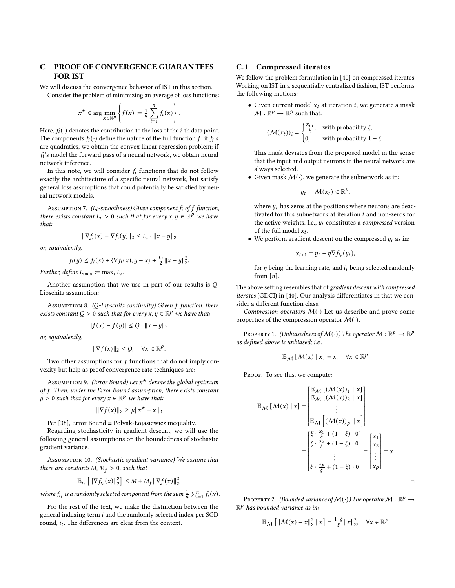## <span id="page-8-0"></span>C PROOF OF CONVERGENCE GUARANTEES FOR IST

We will discuss the convergence behavior of IST in this section.

Consider the problem of minimizing an average of loss functions:

.

$$
x^{\star} \in \arg\min_{x \in \mathbb{R}^p} \left\{ f(x) := \frac{1}{n} \sum_{i=1}^n f_i(x) \right\}
$$

Here,  $f_i(\cdot)$  denotes the contribution to the loss of the *i*-th data point. The components  $f_i(\cdot)$  define the nature of the full function  $f$ : if  $f_i$ 's are quadratics, we obtain the convex linear regression problem; if  $f_i$ 's model the forward pass of a neural network, we obtain neural network inference.

In this note, we will consider  $f_i$  functions that do not follow exactly the architecture of a specific neural network, but satisfy general loss assumptions that could potentially be satisfied by neural network models.

ASSUMPTION 7. ( $L_i$ -smoothness) Given component  $f_i$  of  $f$  function, there exists constant  $L_i > 0$  such that for every  $x, y \in \mathbb{R}^p$  we have that:

$$
\|\nabla f_i(x) - \nabla f_i(y)\|_2 \le L_i \cdot \|x - y\|_2
$$

or, equivalently,

$$
f_i(y) \le f_i(x) + \langle \nabla f_i(x), y - x \rangle + \frac{L_i}{2} ||x - y||_2^2.
$$

Further, define  $L_{\text{max}} := \max_i L_i$ .

Another assumption that we use in part of our results is  $Q$ -Lipschitz assumption:

ASSUMPTION 8. (Q-Lipschitz continuity) Given  $f$  function, there exists constant Q > 0 such that for every  $x, y \in \mathbb{R}^p$  we have that:

$$
|f(x) - f(y)| \le Q \cdot ||x - y||_2
$$

or, equivalently,

$$
\|\nabla f(x)\|_2 \le Q, \quad \forall x \in \mathbb{R}^p.
$$

Two other assumptions for  $f$  functions that do not imply convexity but help as proof convergence rate techniques are:

Assumption 9. *(Error Bound) Let*  $x^{\star}$  denote the global optimum of f. Then, under the Error Bound assumption, there exists constant  $\mu > 0$  such that for every  $x \in \mathbb{R}^p$  we have that:

$$
\|\nabla f(x)\|_2 \ge \mu \|x^\star - x\|_2
$$

Per [\[38\]](#page-12-42), Error Bound ≡ Polyak-Łojasiewicz inequality.

Regarding stochasticity in gradient descent, we will use the following general assumptions on the boundedness of stochastic gradient variance.

<span id="page-8-3"></span>Assumption 10. (Stochastic gradient variance) We assume that there are constants  $M, M_f > 0$ , such that

$$
\mathbb{E}_{i_t} \left[ \|\nabla f_{i_t}(x)\|_2^2 \right] \le M + M_f \|\nabla f(x)\|_2^2,
$$

where  $f_{i_t}$  is a randomly selected component from the sum  $\frac{1}{n} \sum_{i=1}^{n} f_i(x)$ .

For the rest of the text, we make the distinction between the general indexing term i and the randomly selected index per SGD round,  $i_t$ . The differences are clear from the context.

#### C.1 Compressed iterates

We follow the problem formulation in [\[40\]](#page-12-43) on compressed iterates. Working on IST in a sequentially centralized fashion, IST performs the following motions:

• Given current model  $x_t$  at iteration  $t$ , we generate a mask  $M:\mathbb{R}^p\to\mathbb{R}^p$  such that:

$$
\left(\mathcal{M}(x_t)\right)_i = \begin{cases} \frac{x_{t,i}}{\xi}, & \text{with probability } \xi, \\ 0, & \text{with probability } 1 - \xi. \end{cases}
$$

This mask deviates from the proposed model in the sense that the input and output neurons in the neural network are always selected.

• Given mask  $M(\cdot)$ , we generate the subnetwork as in:

$$
y_t \equiv \mathcal{M}(x_t) \in \mathbb{R}^p
$$

where  $y_t$  has zeros at the positions where neurons are deactivated for this subnetwork at iteration  $t$  and non-zeros for the active weights. I.e.,  $y_t$  constitutes a *compressed* version of the full model  $x_t$ .

• We perform gradient descent on the compressed  $y_t$  as in:

$$
x_{t+1} = y_t - \eta \nabla f_{i_t}(y_t),
$$

for  $\eta$  being the learning rate, and  $i_t$  being selected randomly from  $[n]$ .

The above setting resembles that of gradient descent with compressed iterates (GDCI) in [\[40\]](#page-12-43). Our analysis differentiates in that we consider a different function class.

Compression operators  $M(\cdot)$  Let us describe and prove some properties of the compression operator  $M(\cdot)$ .

<span id="page-8-2"></span>PROPERTY 1. (Unbiasedness of  $\mathcal{M}(\cdot)$  ) The operator  $\mathcal{M}:\mathbb{R}^p\to\mathbb{R}^p$ as defined above is unbiased; i.e.,

$$
\mathbb{E}_{\mathcal{M}}\left[\mathcal{M}(x) \mid x\right] = x, \quad \forall x \in \mathbb{R}^p
$$

PROOF. To see this, we compute:

$$
\mathbb{E}_{\mathcal{M}}\left[\mathcal{M}(x) \mid x\right] = \begin{bmatrix} \mathbb{E}_{\mathcal{M}}\left[\left(\mathcal{M}(x)\right)_1 \mid x\right] \\ \mathbb{E}_{\mathcal{M}}\left[\left(\mathcal{M}(x)\right)_2 \mid x\right] \\ \vdots \\ \mathbb{E}_{\mathcal{M}}\left[\left(\mathcal{M}(x)\right)_p \mid x\right] \end{bmatrix}
$$

$$
= \begin{bmatrix} \xi \cdot \frac{x_1}{\xi} + (1 - \xi) \cdot 0 \\ \xi \cdot \frac{x_2}{\xi} + (1 - \xi) \cdot 0 \\ \vdots \\ \xi \cdot \frac{x_p}{\xi} + (1 - \xi) \cdot 0 \end{bmatrix} = \begin{bmatrix} x_1 \\ x_2 \\ \vdots \\ x_p \end{bmatrix} = x
$$

<span id="page-8-1"></span>PROPERTY 2. (Bounded variance of  $\mathcal{M}(\cdot)$ ) The operator  $\mathcal{M}:\mathbb{R}^p\to$  $\mathbb{R}^p$  has bounded variance as in:

 $\Box$ 

$$
\mathbb{E}_{\mathcal{M}}\left[\|\mathcal{M}(x) - x\|_2^2 \mid x\right] = \frac{1-\xi}{\xi} \|x\|_2^2, \quad \forall x \in \mathbb{R}^p
$$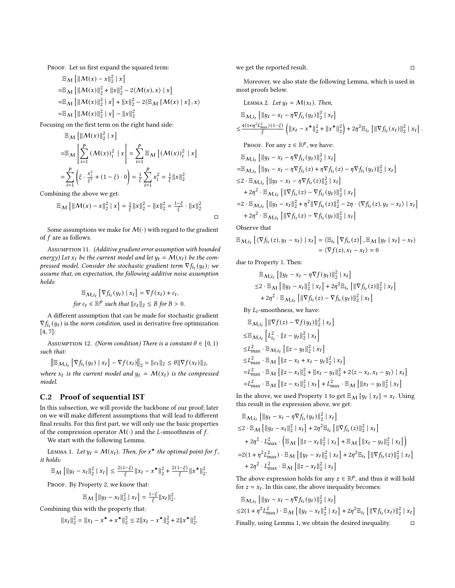PROOF. Let us first expand the squared term:

$$
\mathbb{E}_{M} [\|M(x) - x\|_{2}^{2} | x] \n= \mathbb{E}_{M} [ \|M(x)\|_{2}^{2} + \|x\|_{2}^{2} - 2\langle M(x), x \rangle | x] \n= \mathbb{E}_{M} [ \|M(x)\|_{2}^{2} | x] + \|x\|_{2}^{2} - 2\langle \mathbb{E}_{M} [M(x) | x], x \rangle \n= \mathbb{E}_{M} [ \|M(x)\|_{2}^{2} | x] - \|x\|_{2}^{2}
$$

Focusing on the first term on the right hand side:

$$
\mathbb{E}_{\mathcal{M}} \left[ \| \mathcal{M}(x) \|_{2}^{2} \mid x \right]
$$
\n
$$
= \mathbb{E}_{\mathcal{M}} \left[ \sum_{i=1}^{p} \left( \mathcal{M}(x) \right)_{i}^{2} \mid x \right] = \sum_{i=1}^{p} \mathbb{E}_{\mathcal{M}} \left[ \left( \mathcal{M}(x) \right)_{i}^{2} \mid x \right]
$$
\n
$$
= \sum_{i=1}^{p} \left( \xi \cdot \frac{x_{i}^{2}}{\xi^{2}} + (1 - \xi) \cdot 0 \right) = \frac{1}{\xi} \sum_{i=1}^{p} x_{i}^{2} = \frac{1}{\xi} \| x \|_{2}^{2}
$$

Combining the above we get:

$$
\mathbb{E}_{\mathcal{M}}\left[\|\mathcal{M}(x) - x\|_{2}^{2} \mid x\right] = \frac{1}{\xi} \|x\|_{2}^{2} - \|x\|_{2}^{2} = \frac{1-\xi}{\xi} \cdot \|x\|_{2}^{2}
$$

Some assumptions we make for  $M(\cdot)$  with regard to the gradient of  $f$  are as follows.

Assumption 11. (Additive gradient error assumption with bounded energy) Let  $x_t$  be the current model and let  $y_t = \mathcal{M}(x_t)$  be the compressed model. Consider the stochastic gradient term  $\nabla f_{i_t}(y_t)$ ; we assume that, on expectation, the following additive noise assumption holds:

$$
\mathbb{E}_{\mathcal{M}, i_t} \left[ \nabla f_{i_t}(y_t) \mid x_t \right] = \nabla f(x_t) + \varepsilon_t,
$$
  
for  $\varepsilon_t \in \mathbb{R}^p$  such that  $||\varepsilon_t||_2 \leq B$  for  $B > 0$ .

A different assumption that can be made for stochastic gradient  $\nabla f_{i_t}(y_t)$  is the *norm condition*, used in derivative free optimization [\[4,](#page-12-44) [7\]](#page-12-45):

<span id="page-9-2"></span>ASSUMPTION 12. (Norm condition) There is a constant  $\theta \in [0, 1)$ such that:

$$
\left\| \mathbb{E}_{\mathcal{M},i_t} \left[ \nabla f_{i_t}(y_t) \mid x_t \right] - \nabla f(x_t) \right\|_2 = \| \varepsilon_t \|_2 \leq \theta \| \nabla f(x_t) \|_2,
$$

where  $x_t$  is the current model and  $y_t = M(x_t)$  is the compressed model.

## C.2 Proof of sequential IST

In this subsection, we will provide the backbone of our proof; later on we will make different assumptions that will lead to different final results. For this first part, we will only use the basic properties of the compression operator  $M(\cdot)$  and the L-smoothness of f.

We start with the following Lemma.

<span id="page-9-0"></span>LEMMA 1. Let  $y_t = M(x_t)$ . Then, for  $x^*$  the optimal point for f, it holds:

$$
\mathbb{E}_{\mathcal{M}}\left[\|y_t-x_t\|_2^2\mid x_t\right]\leq \tfrac{2(1-\xi)}{\xi}\|x_t-x^\star\|_2^2+\tfrac{2(1-\xi)}{\xi}\|x^\star\|_2^2.
$$

PROOF. By Property [2,](#page-8-1) we know that:

$$
\mathbb{E}_{\mathcal{M}}\left[\|y_t - x_t\|_2^2 \mid x_t\right] = \frac{1-\xi}{\xi} \|x_t\|_2^2.
$$

Combining this with the property that:

$$
||x_t||_2^2 = ||x_t - x^\star + x^\star||_2^2 \le 2||x_t - x^\star||_2^2 + 2||x^\star||_2^2,
$$

we get the reported result.  $\Box$ 

Moreover, we also state the following Lemma, which is used in most proofs below.

<span id="page-9-1"></span>LEMMA 2. Let 
$$
y_t = \mathcal{M}(x_t)
$$
. Then,  
\n
$$
\mathbb{E}_{\mathcal{M}, i_t} \left[ \|y_t - x_t - \eta \nabla f_{i_t}(y_t)\|_2^2 \mid x_t \right]
$$
\n
$$
\leq \frac{4(1 + \eta^2 L_{\text{max}}^2)(1 - \xi)}{\xi} \left( \|x_t - x^\star\|_2^2 + \|x^\star\|_2^2 \right) + 2\eta^2 \mathbb{E}_{i_t} \left[ \|\nabla f_{i_t}(x_t)\|_2^2 \mid x_t \right].
$$

Proof. For any  $z \in \mathbb{R}^p$ , we have:

$$
\mathbb{E}_{\mathcal{M},i_{t}}\left[\|y_{t}-x_{t}-\eta\nabla f_{i_{t}}(y_{t})\|_{2}^{2} | x_{t}\right]
$$
\n
$$
=\mathbb{E}_{\mathcal{M},i_{t}}\left[\|y_{t}-x_{t}-\eta\nabla f_{i_{t}}(z)+\eta\nabla f_{i_{t}}(z)-\eta\nabla f_{i_{t}}(y_{t})\|_{2}^{2} | x_{t}\right]
$$
\n
$$
\leq 2 \cdot \mathbb{E}_{\mathcal{M},i_{t}}\left[\|y_{t}-x_{t}-\eta\nabla f_{i_{t}}(z)\|_{2}^{2} | x_{t}\right]
$$
\n
$$
+2\eta^{2} \cdot \mathbb{E}_{\mathcal{M},i_{t}}\left[\|\nabla f_{i_{t}}(z)-\nabla f_{i_{t}}(y_{t})\|_{2}^{2} | x_{t}\right]
$$
\n
$$
=2 \cdot \mathbb{E}_{\mathcal{M},i_{t}}\left[\|y_{t}-x_{t}\|_{2}^{2} + \eta^{2} \|\nabla f_{i_{t}}(z)\|_{2}^{2} - 2\eta \cdot \langle \nabla f_{i_{t}}(z), y_{t}-x_{t}\rangle | x_{t}\right]
$$
\n
$$
+2\eta^{2} \cdot \mathbb{E}_{\mathcal{M},i_{t}}\left[\|\nabla f_{i_{t}}(z)-\nabla f_{i_{t}}(y_{t})\|_{2}^{2} | x_{t}\right]
$$

Observe that

□

$$
\mathbb{E}_{\mathcal{M},i_t} \left[ \langle \nabla f_{i_t}(z), y_t - x_t \rangle \mid x_t \right] = \langle \mathbb{E}_{i_t} \left[ \nabla f_{i_t}(z) \right], \mathbb{E}_{\mathcal{M}} \left[ y_t \mid x_t \right] - x_t \rangle
$$
  
= \langle \nabla f(z), x\_t - x\_t \rangle = 0

due to Property [1.](#page-8-2) Then:

$$
\mathbb{E}_{\mathcal{M}, i_{t}} \left[ \left\| y_{t} - x_{t} - \eta \nabla f(y_{t}) \right\|_{2}^{2} \mid x_{t} \right]
$$
\n
$$
\leq 2 \cdot \mathbb{E}_{\mathcal{M}} \left[ \left\| y_{t} - x_{t} \right\|_{2}^{2} \mid x_{t} \right] + 2\eta^{2} \mathbb{E}_{i_{t}} \left[ \left\| \nabla f_{i_{t}}(z) \right\|_{2}^{2} \mid x_{t} \right]
$$
\n
$$
+ 2\eta^{2} \cdot \mathbb{E}_{\mathcal{M}, i_{t}} \left[ \left\| \nabla f_{i_{t}}(z) - \nabla f_{i_{t}}(y_{t}) \right\|_{2}^{2} \mid x_{t} \right]
$$

By  $L_i$ -smoothness, we have:

$$
\mathbb{E}_{\mathcal{M}, i_{t}} \left[ \|\nabla f(z) - \nabla f(y_{t})\|_{2}^{2} | x_{t} \right]
$$
\n
$$
\leq \mathbb{E}_{\mathcal{M}, i_{t}} \left[ L_{i_{t}}^{2} \cdot ||z - y_{t}||_{2}^{2} | x_{t} \right]
$$
\n
$$
\leq L_{\text{max}}^{2} \cdot \mathbb{E}_{\mathcal{M}, i_{t}} \left[ ||z - y_{t}||_{2}^{2} | x_{t} \right]
$$
\n
$$
\leq L_{\text{max}}^{2} \cdot \mathbb{E}_{\mathcal{M}} \left[ ||z - x_{t} + x_{t} - y_{t}||_{2}^{2} | x_{t} \right]
$$
\n
$$
= L_{\text{max}}^{2} \cdot \mathbb{E}_{\mathcal{M}} \left[ ||z - x_{t}||_{2}^{2} + ||x_{t} - y_{t}||_{2}^{2} + 2\langle z - x_{t}, x_{t} - y_{t} \rangle | x_{t} \right]
$$
\n
$$
= L_{\text{max}}^{2} \cdot \mathbb{E}_{\mathcal{M}} \left[ ||z - x_{t}||_{2}^{2} | x_{t} \right] + L_{\text{max}}^{2} \cdot \mathbb{E}_{\mathcal{M}} \left[ ||x_{t} - y_{t}||_{2}^{2} | x_{t} \right]
$$

In the above, we used Property [1](#page-8-2) to get  $\mathbb{E}_{\mathcal{M}}[y_t | x_t] = x_t$ . Using this result in the expression above, we get:

$$
\mathbb{E}_{\mathcal{M}, i_{t}} [||y_{t} - x_{t} - \eta \nabla f_{i_{t}}(y_{t})||_{2}^{2} | x_{t}]
$$
\n
$$
\leq 2 \cdot \mathbb{E}_{\mathcal{M}} [||y_{t} - x_{t}||_{2}^{2} | x_{t}] + 2\eta^{2} \mathbb{E}_{i_{t}} [||\nabla f_{i_{t}}(z)||_{2}^{2} | x_{t}]
$$
\n
$$
+ 2\eta^{2} \cdot L_{\text{max}}^{2} \cdot (\mathbb{E}_{\mathcal{M}} [||z - x_{t}||_{2}^{2} | x_{t}] + \mathbb{E}_{\mathcal{M}} [||x_{t} - y_{t}||_{2}^{2} | x_{t}] )
$$
\n
$$
= 2(1 + \eta^{2} L_{\text{max}}^{2}) \cdot \mathbb{E}_{\mathcal{M}} [||y_{t} - x_{t}||_{2}^{2} | x_{t}] + 2\eta^{2} \mathbb{E}_{i_{t}} [||\nabla f_{i_{t}}(z)||_{2}^{2} | x_{t}]
$$
\n
$$
+ 2\eta^{2} \cdot L_{\text{max}}^{2} \cdot \mathbb{E}_{\mathcal{M}} [||z - x_{t}||_{2}^{2} | x_{t}]
$$

The above expression holds for any  $z \in \mathbb{R}^p$ , and thus it will hold for  $z = x_t$ . In this case, the above inequality becomes:

$$
\mathbb{E}_{\mathcal{M}, i_t} \left[ \left\| y_t - x_t - \eta \nabla f_{i_t}(y_t) \right\|_2^2 \mid x_t \right]
$$
  
\n
$$
\leq 2(1 + \eta^2 L_{\text{max}}^2) \cdot \mathbb{E}_{\mathcal{M}} \left[ \left\| y_t - x_t \right\|_2^2 \mid x_t \right] + 2\eta^2 \mathbb{E}_{i_t} \left[ \left\| \nabla f_{i_t}(x_t) \right\|_2^2 \mid x_t \right]
$$
  
\nFinally, using Lemma 1, we obtain the desired inequality.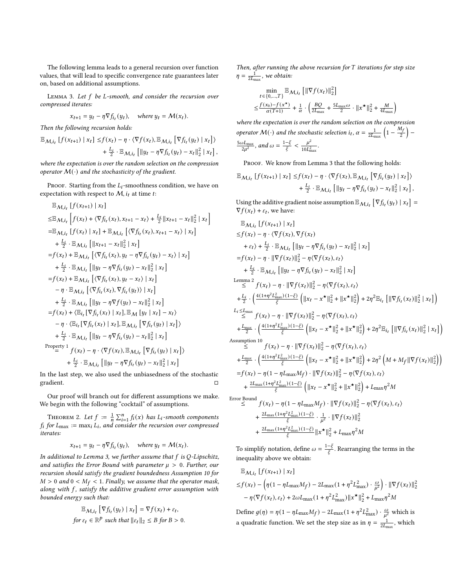The following lemma leads to a general recursion over function values, that will lead to specific convergence rate guarantees later on, based on additional assumptions.

<span id="page-10-0"></span>LEMMA 3. Let  $f$  be L-smooth, and consider the recursion over compressed iterates:

$$
x_{t+1} = y_t - \eta \nabla f_{i_t}(y_t), \quad \text{where } y_t = \mathcal{M}(x_t).
$$

Then the following recursion holds:

$$
\mathbb{E}_{\mathcal{M},i_t} \left[ f(x_{t+1}) \mid x_t \right] \leq f(x_t) - \eta \cdot \langle \nabla f(x_t), \mathbb{E}_{\mathcal{M},i_t} \left[ \nabla f_{i_t}(y_t) \mid x_t \right] \rangle + \frac{L_i}{2} \cdot \mathbb{E}_{\mathcal{M},i_t} \left[ \left\| y_t - \eta \nabla f_{i_t}(y_t) - x_t \right\|_2^2 \mid x_t \right],
$$

where the expectation is over the random selection on the compression operator  $M(\cdot)$  and the stochasticity of the gradient.

PROOF. Starting from the  $L_i$ -smoothness condition, we have on expectation with respect to  $M$ ,  $i_t$  at time t:

i

$$
\mathbb{E}_{\mathcal{M},i_{t}}[f(x_{t+1}) | x_{t}]
$$
\n
$$
\leq \mathbb{E}_{\mathcal{M},i_{t}}[f(x_{t}) + \langle \nabla f_{i_{t}}(x_{t}), x_{t+1} - x_{t} \rangle + \frac{L_{i}}{2} || x_{t+1} - x_{t} ||_{2}^{2} | x_{t}
$$
\n
$$
= \mathbb{E}_{\mathcal{M},i_{t}}[f(x_{t}) | x_{t}] + \mathbb{E}_{\mathcal{M},i_{t}}[\langle \nabla f_{i_{t}}(x_{t}), x_{t+1} - x_{t} \rangle | x_{t}]
$$
\n
$$
+ \frac{L_{i}}{2} \cdot \mathbb{E}_{\mathcal{M},i_{t}}[||x_{t+1} - x_{t}||_{2}^{2} | x_{t}]
$$
\n
$$
= f(x_{t}) + \mathbb{E}_{\mathcal{M},i_{t}}[\langle \nabla f_{i_{t}}(x_{t}), y_{t} - \eta \nabla f_{i_{t}}(y_{t}) - x_{t} \rangle | x_{t}]
$$
\n
$$
+ \frac{L_{i}}{2} \cdot \mathbb{E}_{\mathcal{M},i_{t}}[||y_{t} - \eta \nabla f_{i_{t}}(y_{t}) - x_{t}||_{2}^{2} | x_{t}]
$$
\n
$$
= f(x_{t}) + \mathbb{E}_{\mathcal{M},i_{t}}[\langle \nabla f_{i_{t}}(x_{t}), y_{t} - x_{t} \rangle | x_{t}]
$$
\n
$$
- \eta \cdot \mathbb{E}_{\mathcal{M},i_{t}}[\langle \nabla f_{i_{t}}(x_{t}), \nabla f_{i_{t}}(y_{t}) \rangle | x_{t}]
$$
\n
$$
+ \frac{L_{i}}{2} \cdot \mathbb{E}_{\mathcal{M},i_{t}}[||y_{t} - \eta \nabla f(y_{t}) - x_{t}||_{2}^{2} | x_{t}]
$$
\n
$$
= f(x_{t}) + \langle \mathbb{E}_{i_{t}}[\nabla f_{i_{t}}(x_{t}) | x_{t}], \mathbb{E}_{\mathcal{M}}[y_{t} | x_{t}] - x_{t} \rangle
$$
\n
$$
- \eta \cdot \langle \mathbb{E}_{i_{t
$$

In the last step, we also used the unbiasedness of the stochastic gradient.  $\Box$ 

Our proof will branch out for different assumptions we make. We begin with the following "cocktail" of assumptions.

<span id="page-10-1"></span>THEOREM 2. Let  $f := \frac{1}{n} \sum_{i=1}^{n} f_i(x)$  has  $L_i$ -smooth components  $f_i$  for  $L_{\text{max}} := \max_i L_i$ , and consider the recursion over compressed iterates:

$$
x_{t+1} = y_t - \eta \nabla f_{i_t}(y_t), \quad \text{where } y_t = \mathcal{M}(x_t).
$$

In additional to Lemma [3,](#page-10-0) we further assume that  $f$  is Q-Lipschitz, and satisfies the Error Bound with parameter  $\mu > 0$ . Further, our recursion should satisfy the gradient boundedness Assumption [10](#page-8-3) for  $M > 0$  and  $0 < M_f < 1$ . Finally, we assume that the operator mask, along with  $f$ , satisfy the additive gradient error assumption with bounded energy such that:

$$
\mathbb{E}_{\mathcal{M}, i_t} \left[ \nabla f_{i_t}(y_t) \mid x_t \right] = \nabla f(x_t) + \varepsilon_t,
$$
  
for  $\varepsilon_t \in \mathbb{R}^p$  such that  $||\varepsilon_t||_2 \le B$  for  $B > 0$ .

Then, after running the above recursion for  $T$  iterations for step size  $\eta = \frac{1}{2L_{\text{max}}}$ , we obtain:

$$
\min_{t \in \{0, \dots, T\}} \mathbb{E}_{\mathcal{M}, i_t} \left[ \|\nabla f(x_t)\|_2^2 \right] \n\leq \frac{f(x_0) - f(x^*)}{\alpha(T+1)} + \frac{1}{\alpha} \cdot \left( \frac{BQ}{2L_{\text{max}}} + \frac{5L_{\text{max}}\omega}{2} \cdot ||x^*||_2^2 + \frac{M}{4L_{\text{max}}} \right)
$$

where the expectation is over the random selection on the compression operator  $M(\cdot)$  and the stochastic selection  $i_t$ ,  $\alpha = \frac{1}{2L_{\text{max}}} \left(1 - \frac{M_f}{2}\right)$  $rac{5\omega L_{\text{max}}}{2u^2}$ , and  $\omega = \frac{1-\xi}{\xi} < \frac{\mu^2}{10L^2}$  $\frac{\mu}{10L_{\max}^2}$ .

PROOF. We know from Lemma [3](#page-10-0) that the following holds:

$$
\mathbb{E}_{\mathcal{M},i_t} \left[ f(x_{t+1}) \mid x_t \right] \leq f(x_t) - \eta \cdot \langle \nabla f(x_t), \mathbb{E}_{\mathcal{M},i_t} \left[ \nabla f_{i_t}(y_t) \mid x_t \right] \rangle + \frac{L_i}{2} \cdot \mathbb{E}_{\mathcal{M},i_t} \left[ \left\| y_t - \eta \nabla f_{i_t}(y_t) - x_t \right\|_2^2 \mid x_t \right],
$$

Using the additive gradient noise assumption  $\mathbb{E}_{\mathcal{M},i_t}\left[\nabla f_{i_t}(y_t) \mid x_t\right] =$  $\nabla f(x_t) + \varepsilon_t$ , we have:

$$
\mathbb{E}_{M,i_{t}}\left[f(x_{t+1}) | x_{t}\right] \leq f(x_{t}) - \eta \cdot \langle \nabla f(x_{t}), \nabla f(x_{t}) \rangle + \varepsilon_{t}\rangle + \frac{L_{i}}{2} \cdot \mathbb{E}_{M,i_{t}}\left[\|y_{t} - \eta \nabla f_{i_{t}}(y_{t}) - x_{t}\|_{2}^{2} | x_{t}\right] \leq f(x_{t}) - \eta \cdot \|\nabla f(x_{t})\|_{2}^{2} - \eta \langle \nabla f(x_{t}), \varepsilon_{t}\rangle + \frac{L_{i}}{2} \cdot \mathbb{E}_{M,i_{t}}\left[\|y_{t} - \eta \nabla f_{i_{t}}(y_{t}) - x_{t}\|_{2}^{2} | x_{t}\right] \leq \frac{1}{2} \cdot \mathbb{E}_{M,i_{t}}\left[\|y_{t} - \eta \nabla f_{i_{t}}(y_{t}) - x_{t}\|_{2}^{2} | x_{t}\right] \leq \frac{1}{2} \cdot \left(\frac{4(1 + \eta^{2} L_{\text{max}}^{2})(1 - \xi)}{\xi}\left(\|x_{t} - x^{\star}\|_{2}^{2} + \|x^{\star}\|_{2}^{2}\right) + 2\eta^{2} \mathbb{E}_{i_{t}}\left[\|\nabla f_{i_{t}}(x_{t})\|_{2}^{2} | x_{t}\right]\right) \leq \frac{L_{i} \leq L_{\text{max}}}{\xi} f(x_{t}) - \eta \cdot \|\nabla f(x_{t})\|_{2}^{2} - \eta \langle \nabla f(x_{t}), \varepsilon_{t}\rangle + \frac{L_{\text{max}}}{2} \cdot \left(\frac{4(1 + \eta^{2} L_{\text{max}}^{2})(1 - \xi)}{\xi}\left(\|x_{t} - x^{\star}\|_{2}^{2} + \|x^{\star}\|_{2}^{2}\right) + 2\eta^{2} \mathbb{E}_{i_{t}}\left[\|\nabla f_{i_{t}}(x_{t})\|_{2}^{2} | x_{t}\right]\right) \leq \frac{1}{2} \cdot \left(\frac{4(1 + \eta^{2} L_{\text{max}}^{2})(1 - \xi)}{\xi}\left(\|x_{t} - x^{\star}\|_{2}^{2} + \|x^{\star}\|_{2}^{2}\right) + 2\eta^{
$$

$$
\leq f(x_t) - \eta (1 - \eta L_{\max} M_f) \cdot ||\nabla f(x_t)||_2^2 - \eta \langle \nabla f(x_t), \varepsilon_t \rangle
$$
  
+ 
$$
\frac{2L_{\max} (1 + \eta^2 L_{\max}^2) (1 - \xi)}{\xi} \cdot \frac{1}{\mu^2} \cdot ||\nabla f(x_t)||_2^2
$$
  
+ 
$$
\frac{2L_{\max} (1 + \eta^2 L_{\max}^2) (1 - \xi)}{\xi} ||x^{\star}||_2^2 + L_{\max} \eta^2 M
$$

To simplify notation, define  $\omega = \frac{1-\xi}{\xi}$ . Rearranging the terms in the inequality above we obtain:

$$
\mathbb{E}_{\mathcal{M},i_t} [f(x_{t+1}) | x_t]
$$
  
\n
$$
\leq f(x_t) - \left(\eta(1 - \eta L_{\text{max}} M_f) - 2L_{\text{max}} (1 + \eta^2 L_{\text{max}}^2) \cdot \frac{\omega}{\mu^2}\right) \cdot \|\nabla f(x_t)\|_2^2
$$
  
\n
$$
- \eta \langle \nabla f(x_t), \varepsilon_t \rangle + 2\omega L_{\text{max}} (1 + \eta^2 L_{\text{max}}^2) \|x^* \|_2^2 + L_{\text{max}} \eta^2 M
$$

Define  $g(\eta) = \eta (1 - \eta L_{\text{max}} M_f) - 2L_{\text{max}} (1 + \eta^2 L_{\text{max}}^2) \cdot \frac{\omega}{\mu^2}$  which is a quadratic function. We set the step size as in  $\eta = \frac{1}{2L_{\text{max}}}$ , which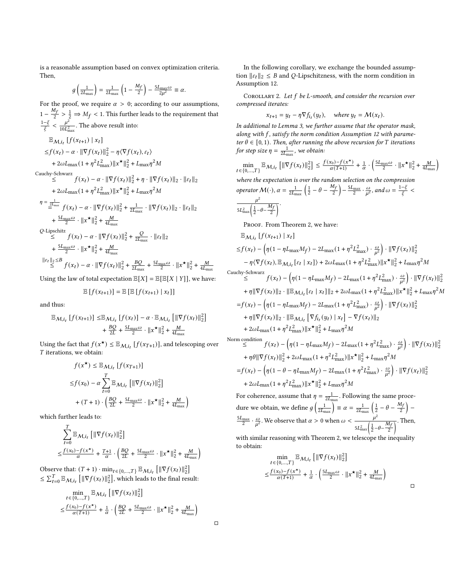is a reasonable assumption based on convex optimization criteria. Then,

$$
g\left(\frac{1}{2L_{\text{max}}}\right) = \frac{1}{2L_{\text{max}}}\left(1 - \frac{M_f}{2}\right) - \frac{5L_{\text{max}}\omega}{2\mu^2} \equiv \alpha.
$$

For the proof, we require  $\alpha > 0$ ; according to our assumptions,  $1 - \frac{M_f}{2} > \frac{1}{2} \Rightarrow M_f < 1$ . This further leads to the requirement that  $\frac{1-\xi}{\xi} < \frac{\mu^2}{10L^2}$  $\frac{\mu^2}{10 L_{\text{max}}^2}$ . The above result into:

$$
\mathbb{E}_{M,i_{t}}[f(x_{t+1}) | x_{t}]
$$
\n
$$
\leq f(x_{t}) - \alpha \cdot \|\nabla f(x_{t})\|_{2}^{2} - \eta \langle \nabla f(x_{t}), \varepsilon_{t} \rangle
$$
\n
$$
+ 2\omega L_{\max}(1 + \eta^{2} L_{\max}^{2}) \|x^{\star}\|_{2}^{2} + L_{\max} \eta^{2} M
$$
\nCauchy-Schwarz\n
$$
\leq f(x_{t}) - \alpha \cdot \|\nabla f(x_{t})\|_{2}^{2} + \eta \cdot \|\nabla f(x_{t})\|_{2} \cdot \|\varepsilon_{t}\|_{2}
$$
\n
$$
+ 2\omega L_{\max}(1 + \eta^{2} L_{\max}^{2}) \|x^{\star}\|_{2}^{2} + L_{\max} \eta^{2} M
$$
\n
$$
\eta = \frac{1}{\frac{2L_{\max}}{\varepsilon}} f(x_{t}) - \alpha \cdot \|\nabla f(x_{t})\|_{2}^{2} + \frac{1}{2L_{\max}} \cdot \|\nabla f(x_{t})\|_{2} \cdot \|\varepsilon_{t}\|_{2}
$$
\n
$$
+ \frac{5L_{\max} \omega}{2} \cdot \|x^{\star}\|_{2}^{2} + \frac{M}{4L_{\max}}
$$
\nQ-Lipschitz\n
$$
\leq f(x_{t}) - \alpha \cdot \|\nabla f(x_{t})\|_{2}^{2} + \frac{Q}{2L_{\max}} \cdot \|\varepsilon_{t}\|_{2}
$$
\n
$$
+ \frac{5L_{\max} \omega}{2} \cdot \|x^{\star}\|_{2}^{2} + \frac{M}{4L_{\max}}
$$
\n
$$
\|\varepsilon_{t}\|_{2} \leq B \cdot f(x_{t}) - \alpha \cdot \|\nabla f(x_{t})\|_{2}^{2} + \frac{BQ}{2L_{\max}} + \frac{5L_{\max} \omega}{2} \cdot \|x^{\star}\|_{2}^{2} + \frac{M}{4L_{\max}}
$$

Using the law of total expectation  $\mathbb{E}[X] = \mathbb{E}[\mathbb{E}[X | Y]]$ , we have:

$$
\mathbb{E}[f(x_{t+1})] = \mathbb{E}[\mathbb{E}[f(x_{t+1}) | x_t]]
$$

and thus:

$$
\mathbb{E}_{\mathcal{M},i_t} \left[ f(x_{t+1}) \right] \leq \mathbb{E}_{\mathcal{M},i_t} \left[ f(x_t) \right] - \alpha \cdot \mathbb{E}_{\mathcal{M},i_t} \left[ \left\| \nabla f(x_t) \right\|_2^2 \right] + \frac{BQ}{2L} + \frac{5L_{\text{max}}\omega}{2} \cdot \left\| x^\star \right\|_2^2 + \frac{M}{4L_{\text{max}}}
$$

Using the fact that  $f(x^{\star}) \leq \mathbb{E}_{\mathcal{M}, i_t} [f(x_{T+1})]$ , and telescoping over  $T$  iterations, we obtain:

$$
f(x^{\star}) \leq \mathbb{E}_{\mathcal{M}, i_t} [f(x_{T+1})]
$$
  
\n
$$
\leq f(x_0) - \alpha \sum_{t=0}^{T} \mathbb{E}_{\mathcal{M}, i_t} [\|\nabla f(x_t)\|_2^2]
$$
  
\n+  $(T+1) \cdot \left(\frac{BQ}{2L} + \frac{5L_{\text{max}}\omega}{2} \cdot \|\mathbf{x}^{\star}\|_2^2 + \frac{M}{4L_{\text{max}}}\right)$ 

which further leads to:

$$
\sum_{t=0}^{T} \mathbb{E}_{\mathcal{M}, i_t} \left[ \|\nabla f(x_t)\|_2^2 \right]
$$
  

$$
\leq \frac{f(x_0) - f(x^*)}{\alpha} + \frac{T+1}{\alpha} \cdot \left( \frac{BQ}{2L} + \frac{5L_{\text{max}}\omega}{2} \cdot ||x^*||_2^2 + \frac{M}{4L_{\text{max}}} \right)
$$

Observe that:  $(T + 1) \cdot \min_{t \in \{0, ..., T\}} \mathbb{E}_{\mathcal{M}, i_t} \left[ \|\nabla f(x_t)\|_2^2 \right]$  $\leq \sum_{t=0}^{T} \mathbb{E}_{\mathcal{M},i_t} \left[ \|\nabla f(x_t)\|_2^2 \right]$ , which leads to the final result:

$$
\begin{aligned} & \min_{t \in \{0,\ldots,T\}} \mathbb{E}_{\mathcal{M},i_t} \left[ \|\nabla f(x_t)\|_2^2 \right] \\ \leq & \frac{f(x_0) - f(x^\star)}{\alpha(T+1)} + \frac{1}{\alpha} \cdot \left( \frac{BQ}{2L} + \frac{5L_{\text{max}} \omega}{2} \cdot \left\|x^\star\right\|_2^2 + \frac{M}{4L_{\text{max}}} \right) \end{aligned}
$$

In the following corollary, we exchange the bounded assumption  $||\varepsilon_t||_2 \leq B$  and Q-Lipschitzness, with the norm condition in Assumption [12.](#page-9-2)

COROLLARY 2. Let  $f$  be L-smooth, and consider the recursion over compressed iterates:

$$
x_{t+1} = y_t - \eta \nabla f_{i_t}(y_t), \quad \text{where } y_t = \mathcal{M}(x_t).
$$

In additional to Lemma [3,](#page-10-0) we further assume that the operator mask, along with  $f$ , satisfy the norm condition Assumption [12](#page-9-2) with parameter  $\theta \in [0, 1)$ . Then, after running the above recursion for T iterations for step size  $\eta = \frac{1}{2L_{\text{max}}}$ , we obtain:

$$
\min_{t \in \{0, \ldots, T\}} \mathbb{E}_{\mathcal{M}, i_t} \left[ \|\nabla f(x_t)\|_2^2 \right] \le \frac{f(x_0) - f(x^*)}{\alpha(T+1)} + \frac{1}{\alpha} \cdot \left( \frac{5L_{\text{max}}\omega}{2} \cdot \|x^* \|^2_2 + \frac{M}{4L_{\text{max}}} \right)
$$

where the expectation is over the random selection on the compression operator  $\mathcal{M}(\cdot)$ ,  $\alpha = \frac{1}{2L_{\text{max}}} \left( \frac{1}{2} - \theta - \frac{M_f}{2} \right) - \frac{5L_{\text{max}}}{2} \cdot \frac{\omega}{u^2}$ , and  $\omega = \frac{1-\xi}{\xi}$  $\mu^2$ 

$$
\frac{\mu}{5L_{\max}^2\left(\frac{1}{2}-\theta-\frac{M_f}{2}\right)}.
$$

PROOF. From Theorem [2,](#page-10-1) we have:

$$
\mathbb{E}_{M,i_{t}}[f(x_{t+1}) | x_{t}]
$$
\n
$$
\leq f(x_{t}) - \left(\eta(1 - \eta L_{\max}M_{f}) - 2L_{\max}(1 + \eta^{2}L_{\max}^{2}) \cdot \frac{\omega}{\mu^{2}}\right) \cdot \|\nabla f(x_{t})\|_{2}^{2}
$$
\n
$$
- \eta \langle \nabla f(x_{t}), \mathbb{E}_{M,i_{t}}[\varepsilon_{t} | x_{t}]\rangle + 2\omega L_{\max}(1 + \eta^{2}L_{\max}^{2})\|\mathbf{x}^{\star}\|_{2}^{2} + L_{\max}\eta^{2}M
$$
\nCauchy-Schwarz\n
$$
\leq f(x_{t}) - \left(\eta(1 - \eta L_{\max}M_{f}) - 2L_{\max}(1 + \eta^{2}L_{\max}^{2}) \cdot \frac{\omega}{\mu^{2}}\right) \cdot \|\nabla f(x_{t})\|_{2}^{2}
$$
\n
$$
+ \eta \|\nabla f(x_{t})\|_{2} \cdot \|\mathbb{E}_{M,i_{t}}[\varepsilon_{t} | x_{t}]\|_{2} + 2\omega L_{\max}(1 + \eta^{2}L_{\max}^{2})\|\mathbf{x}^{\star}\|_{2}^{2} + L_{\max}\eta^{2}M
$$
\n
$$
= f(x_{t}) - \left(\eta(1 - \eta L_{\max}M_{f}) - 2L_{\max}(1 + \eta^{2}L_{\max}^{2}) \cdot \frac{\omega}{\mu^{2}}\right) \cdot \|\nabla f(x_{t})\|_{2}^{2}
$$
\n
$$
+ \eta \|\nabla f(x_{t})\|_{2} \cdot \|\mathbb{E}_{M,i_{t}}[\nabla f_{i_{t}}(y_{t}) | x_{t}] - \nabla f(x_{t})\|_{2}
$$
\n
$$
+ 2\omega L_{\max}(1 + \eta^{2}L_{\max}^{2})\|\mathbf{x}^{\star}\|_{2}^{2} + L_{\max}\eta^{2}M
$$
\nNorm condition\n
$$
\leq f(x_{t}) - \left(\eta(1 - \eta L_{\max}M_{f}) - 2L_{\max}(1 + \eta^{2}L_{\max}^{2}) \cdot \frac{\omega}{\mu^{2}}\right) \cdot \|\nabla f(x_{t})\|_{2}^{2}
$$

For coherence, assume that  $\eta = \frac{1}{2L_{\text{max}}}$ . Following the same procedure we obtain, we define  $g\left(\frac{1}{2L_{\text{max}}}\right) \equiv \alpha = \frac{1}{2L_{\text{max}}} \left(\frac{1}{2} - \theta - \frac{M_f}{2}\right) \frac{5L_{\text{max}}}{2} \cdot \frac{\omega}{\mu^2}$ . We observe that  $\alpha > 0$  when  $\omega < \frac{\mu^2}{\mu^2}$  $\frac{\mu^2}{5L_{\text{max}}^2\left(\frac{1}{2}-\theta-\frac{M_f}{2}\right)}$ . Then,

with similar reasoning with Theorem [2,](#page-10-1) we telescope the inequality to obtain:

$$
\min_{t \in \{0,\ldots,T\}} \mathbb{E}_{\mathcal{M},i_t} \left[ \|\nabla f(x_t)\|_2^2 \right] \n\leq \frac{f(x_0) - f(x^*)}{\alpha(T+1)} + \frac{1}{\alpha} \cdot \left( \frac{5L_{\text{max}}\omega}{2} \cdot \left\|x^*\right\|_2^2 + \frac{M}{4L_{\text{max}}} \right)
$$

 $\overline{\rm N}$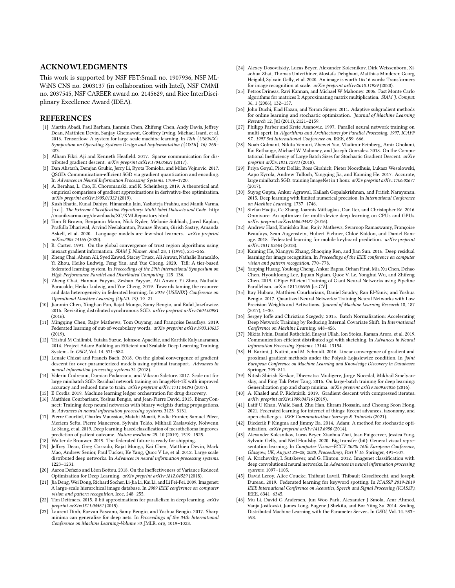#### ACKNOWLEDGMENTS

This work is supported by NSF FET:Small no. 1907936, NSF ML-WiNS CNS no. 2003137 (in collaboration with Intel), NSF CMMI no. 2037545, NSF CAREER award no. 2145629, and Rice InterDisciplinary Excellence Award (IDEA).

## REFERENCES

- <span id="page-12-14"></span>[1] Martín Abadi, Paul Barham, Jianmin Chen, Zhifeng Chen, Andy Davis, Jeffrey Dean, Matthieu Devin, Sanjay Ghemawat, Geoffrey Irving, Michael Isard, et al. 2016. Tensorflow: A system for large-scale machine learning. In 12th {USENIX} Symposium on Operating Systems Design and Implementation ({OSDI} 16). 265– 283.
- <span id="page-12-29"></span>[2] Alham Fikri Aji and Kenneth Heafield. 2017. Sparse communication for distributed gradient descent. arXiv preprint arXiv:1704.05021 (2017).
- <span id="page-12-30"></span>[3] Dan Alistarh, Demjan Grubic, Jerry Li, Ryota Tomioka, and Milan Vojnovic. 2017. QSGD: Communication-efficient SGD via gradient quantization and encoding. In Advances in Neural Information Processing Systems. 1709–1720.
- <span id="page-12-44"></span>[4] A. Berahas, L. Cao, K. Choromanski, and K. Scheinberg. 2019. A theoretical and empirical comparison of gradient approximations in derivative-free optimization. arXiv preprint arXiv:1905.01332 (2019).
- <span id="page-12-27"></span>[5] Kush Bhatia, Kunal Dahiya, Himanshu Jain, Yashoteja Prabhu, and Manik Varma. [n.d.]. The Extreme Classification Repository: Multi-label Datasets and Code. [http:](http://manikvarma.org/downloads/XC/XMLRepository.html) [//manikvarma.org/downloads/XC/XMLRepository.html.](http://manikvarma.org/downloads/XC/XMLRepository.html)
- <span id="page-12-4"></span>[6] Tom B Brown, Benjamin Mann, Nick Ryder, Melanie Subbiah, Jared Kaplan, Prafulla Dhariwal, Arvind Neelakantan, Pranav Shyam, Girish Sastry, Amanda Askell, et al. 2020. Language models are few-shot learners. arXiv preprint arXiv:2005.14165 (2020).
- <span id="page-12-45"></span>[7] R. Carter. 1991. On the global convergence of trust region algorithms using inexact gradient information. SIAM J. Numer. Anal. 28, 1 (1991), 251-265.
- <span id="page-12-11"></span>[8] Zheng Chai, Ahsan Ali, Syed Zawad, Stacey Truex, Ali Anwar, Nathalie Baracaldo, Yi Zhou, Heiko Ludwig, Feng Yan, and Yue Cheng. 2020. Tifl: A tier-based federated learning system. In Proceedings of the 29th International Symposium on High-Performance Parallel and Distributed Computing. 125–136.
- <span id="page-12-12"></span>[9] Zheng Chai, Hannan Fayyaz, Zeshan Fayyaz, Ali Anwar, Yi Zhou, Nathalie Baracaldo, Heiko Ludwig, and Yue Cheng. 2019. Towards taming the resource and data heterogeneity in federated learning. In 2019 {USENIX} Conference on Operational Machine Learning (OpML 19). 19–21.
- <span id="page-12-40"></span>[10] Jianmin Chen, Xinghao Pan, Rajat Monga, Samy Bengio, and Rafal Jozefowicz. 2016. Revisiting distributed synchronous SGD. arXiv preprint arXiv:1604.00981 (2016).
- <span id="page-12-7"></span>[11] Mingqing Chen, Rajiv Mathews, Tom Ouyang, and Françoise Beaufays. 2019. Federated learning of out-of-vocabulary words. arXiv preprint arXiv:1903.10635  $(2019)$
- <span id="page-12-0"></span>[12] Trishul M Chilimbi, Yutaka Suzue, Johnson Apacible, and Karthik Kalyanaraman. 2014. Project Adam: Building an Efficient and Scalable Deep Learning Training System.. In OSDI, Vol. 14. 571–582.
- <span id="page-12-28"></span>[13] Lenaic Chizat and Francis Bach. 2018. On the global convergence of gradient descent for over-parameterized models using optimal transport. Advances in neural information processing systems 31 (2018).
- <span id="page-12-20"></span>[14] Valeriu Codreanu, Damian Podareanu, and Vikram Saletore. 2017. Scale out for large minibatch SGD: Residual network training on ImageNet-1K with improved accuracy and reduced time to train. arXiv preprint arXiv:1711.04291 (2017).
- <span id="page-12-5"></span>[15] E Cordis. 2019. Machine learning ledger orchestration for drug discovery.
- <span id="page-12-32"></span>[16] Matthieu Courbariaux, Yoshua Bengio, and Jean-Pierre David. 2015. BinaryConnect: Training deep neural networks with binary weights during propagations. In Advances in neural information processing systems. 3123–3131.
- <span id="page-12-6"></span>[17] Pierre Courtiol, Charles Maussion, Matahi Moarii, Elodie Pronier, Samuel Pilcer, Meriem Sefta, Pierre Manceron, Sylvain Toldo, Mikhail Zaslavskiy, Nolwenn Le Stang, et al. 2019. Deep learning-based classification of mesothelioma improves prediction of patient outcome. Nature medicine 25, 10 (2019), 1519–1525.
- <span id="page-12-8"></span>[18] Walter de Brouwer. 2019. The federated future is ready for shipping.
- <span id="page-12-1"></span>[19] Jeffrey Dean, Greg Corrado, Rajat Monga, Kai Chen, Matthieu Devin, Mark Mao, Andrew Senior, Paul Tucker, Ke Yang, Quoc V Le, et al. 2012. Large scale distributed deep networks. In Advances in neural information processing systems. 1223–1231.
- <span id="page-12-38"></span>[20] Aaron Defazio and Léon Bottou. 2018. On the Ineffectiveness of Variance Reduced Optimization for Deep Learning. arXiv preprint arXiv:1812.04529 (2018).
- <span id="page-12-23"></span>[21] Jia Deng, Wei Dong, Richard Socher, Li-Jia Li, Kai Li, and Li Fei-Fei. 2009. Imagenet: A large-scale hierarchical image database. In 2009 IEEE conference on computer vision and pattern recognition. Ieee, 248–255.
- <span id="page-12-33"></span>[22] Tim Dettmers. 2015. 8-bit approximations for parallelism in deep learning. arXiv preprint arXiv:1511.04561 (2015).
- <span id="page-12-37"></span>[23] Laurent Dinh, Razvan Pascanu, Samy Bengio, and Yoshua Bengio. 2017. Sharp minima can generalize for deep nets. In Proceedings of the 34th International Conference on Machine Learning-Volume 70. JMLR. org, 1019–1028.
- <span id="page-12-26"></span>[24] Alexey Dosovitskiy, Lucas Beyer, Alexander Kolesnikov, Dirk Weissenborn, Xiaohua Zhai, Thomas Unterthiner, Mostafa Dehghani, Matthias Minderer, Georg Heigold, Sylvain Gelly, et al. 2020. An image is worth 16x16 words: Transformers for image recognition at scale. arXiv preprint arXiv:2010.11929 (2020).
- <span id="page-12-16"></span>[25] Petros Drineas, Ravi Kannan, and Michael W Mahoney. 2006. Fast Monte Carlo algorithms for matrices I: Approximating matrix multiplication. SIAM J. Comput. 36, 1 (2006), 132–157.
- <span id="page-12-18"></span>[26] John Duchi, Elad Hazan, and Yoram Singer. 2011. Adaptive subgradient methods for online learning and stochastic optimization. Journal of Machine Learning Research 12, Jul (2011), 2121–2159.
- <span id="page-12-15"></span>[27] Philipp Farber and Krste Asanovic. 1997. Parallel neural network training on multi-spert. In Algorithms and Architectures for Parallel Processing, 1997. ICAPP 97., 1997 3rd International Conference on. IEEE, 659–666.
- <span id="page-12-41"></span>[28] Noah Golmant, Nikita Vemuri, Zhewei Yao, Vladimir Feinberg, Amir Gholami, Kai Rothauge, Michael W Mahoney, and Joseph Gonzalez. 2018. On the Computational Inefficiency of Large Batch Sizes for Stochastic Gradient Descent. arXiv preprint arXiv:1811.12941 (2018).
- <span id="page-12-36"></span>[29] Priya Goyal, Piotr Dollár, Ross Girshick, Pieter Noordhuis, Lukasz Wesolowski, Aapo Kyrola, Andrew Tulloch, Yangqing Jia, and Kaiming He. 2017. Accurate, large minibatch SGD: training ImageNet in 1 hour. arXiv preprint arXiv:1706.02677 (2017).
- <span id="page-12-34"></span>[30] Suyog Gupta, Ankur Agrawal, Kailash Gopalakrishnan, and Pritish Narayanan. 2015. Deep learning with limited numerical precision. In International Conference on Machine Learning. 1737–1746.
- <span id="page-12-2"></span>[31] Stefan Hadjis, Ce Zhang, Ioannis Mitliagkas, Dan Iter, and Christopher Ré. 2016. Omnivore: An optimizer for multi-device deep learning on CPUs and GPUs. arXiv preprint arXiv:1606.04487 (2016).
- <span id="page-12-9"></span>[32] Andrew Hard, Kanishka Rao, Rajiv Mathews, Swaroop Ramaswamy, Françoise Beaufays, Sean Augenstein, Hubert Eichner, Chloé Kiddon, and Daniel Ramage. 2018. Federated learning for mobile keyboard prediction. arXiv preprint arXiv:1811.03604 (2018).
- <span id="page-12-17"></span>[33] Kaiming He, Xiangyu Zhang, Shaoqing Ren, and Jian Sun. 2016. Deep residual learning for image recognition. In Proceedings of the IEEE conference on computer vision and pattern recognition. 770–778.
- <span id="page-12-25"></span>[34] Yanping Huang, Youlong Cheng, Ankur Bapna, Orhan Firat, Mia Xu Chen, Dehao Chen, HyoukJoong Lee, Jiquan Ngiam, Quoc V. Le, Yonghui Wu, and Zhifeng Chen. 2019. GPipe: Efficient Training of Giant Neural Networks using Pipeline Parallelism. arXiv[:1811.06965](https://arxiv.org/abs/1811.06965) [cs.CV]
- <span id="page-12-35"></span>[35] Itay Hubara, Matthieu Courbariaux, Daniel Soudry, Ran El-Yaniv, and Yoshua Bengio. 2017. Quantized Neural Networks: Training Neural Networks with Low Precision Weights and Activations. Journal of Machine Learning Research 18, 187 (2017), 1–30.
- <span id="page-12-22"></span>[36] Sergey Ioffe and Christian Szegedy. 2015. Batch Normalization: Accelerating Deep Network Training by Reducing Internal Covariate Shift. In International Conference on Machine Learning. 448–456.
- <span id="page-12-31"></span>[37] Nikita Ivkin, Daniel Rothchild, Enayat Ullah, Ion Stoica, Raman Arora, et al. 2019. Communication-efficient distributed sgd with sketching. In Advances in Neural Information Processing Systems. 13144–13154.
- <span id="page-12-42"></span>[38] H. Karimi, J. Nutini, and M. Schmidt. 2016. Linear convergence of gradient and proximal-gradient methods under the Polyak-Łojasiewicz condition. In Joint European Conference on Machine Learning and Knowledge Discovery in Databases. Springer, 795–811.
- <span id="page-12-39"></span>[39] Nitish Shirish Keskar, Dheevatsa Mudigere, Jorge Nocedal, Mikhail Smelyanskiy, and Ping Tak Peter Tang. 2016. On large-batch training for deep learning: Generalization gap and sharp minima. arXiv preprint arXiv:1609.04836 (2016).
- <span id="page-12-43"></span>[40] A. Khaled and P. Richtárik. 2019. Gradient descent with compressed iterates. arXiv preprint arXiv:1909.04716 (2019).
- <span id="page-12-13"></span>[41] Latif U Khan, Walid Saad, Zhu Han, Ekram Hossain, and Choong Seon Hong. 2021. Federated learning for internet of things: Recent advances, taxonomy, and open challenges. IEEE Communications Surveys & Tutorials (2021).
- <span id="page-12-19"></span>[42] Diederik P Kingma and Jimmy Ba. 2014. Adam: A method for stochastic optimization. arXiv preprint arXiv:1412.6980 (2014).
- <span id="page-12-21"></span>[43] Alexander Kolesnikov, Lucas Beyer, Xiaohua Zhai, Joan Puigcerver, Jessica Yung, Sylvain Gelly, and Neil Houlsby. 2020. Big transfer (bit): General visual representation learning. In Computer Vision–ECCV 2020: 16th European Conference, Glasgow, UK, August 23–28, 2020, Proceedings, Part V 16. Springer, 491–507.
- <span id="page-12-24"></span>[44] A. Krizhevsky, I. Sutskever, and G. Hinton. 2012. Imagenet classification with deep convolutional neural networks. In Advances in neural information processing systems. 1097–1105.
- <span id="page-12-10"></span>[45] David Leroy, Alice Coucke, Thibaut Lavril, Thibault Gisselbrecht, and Joseph Dureau. 2019. Federated learning for keyword spotting. In ICASSP 2019-2019 IEEE International Conference on Acoustics, Speech and Signal Processing (ICASSP). IEEE, 6341–6345.
- <span id="page-12-3"></span>[46] Mu Li, David G Andersen, Jun Woo Park, Alexander J Smola, Amr Ahmed, Vanja Josifovski, James Long, Eugene J Shekita, and Bor-Yiing Su. 2014. Scaling Distributed Machine Learning with the Parameter Server.. In OSDI, Vol. 14. 583– 598.